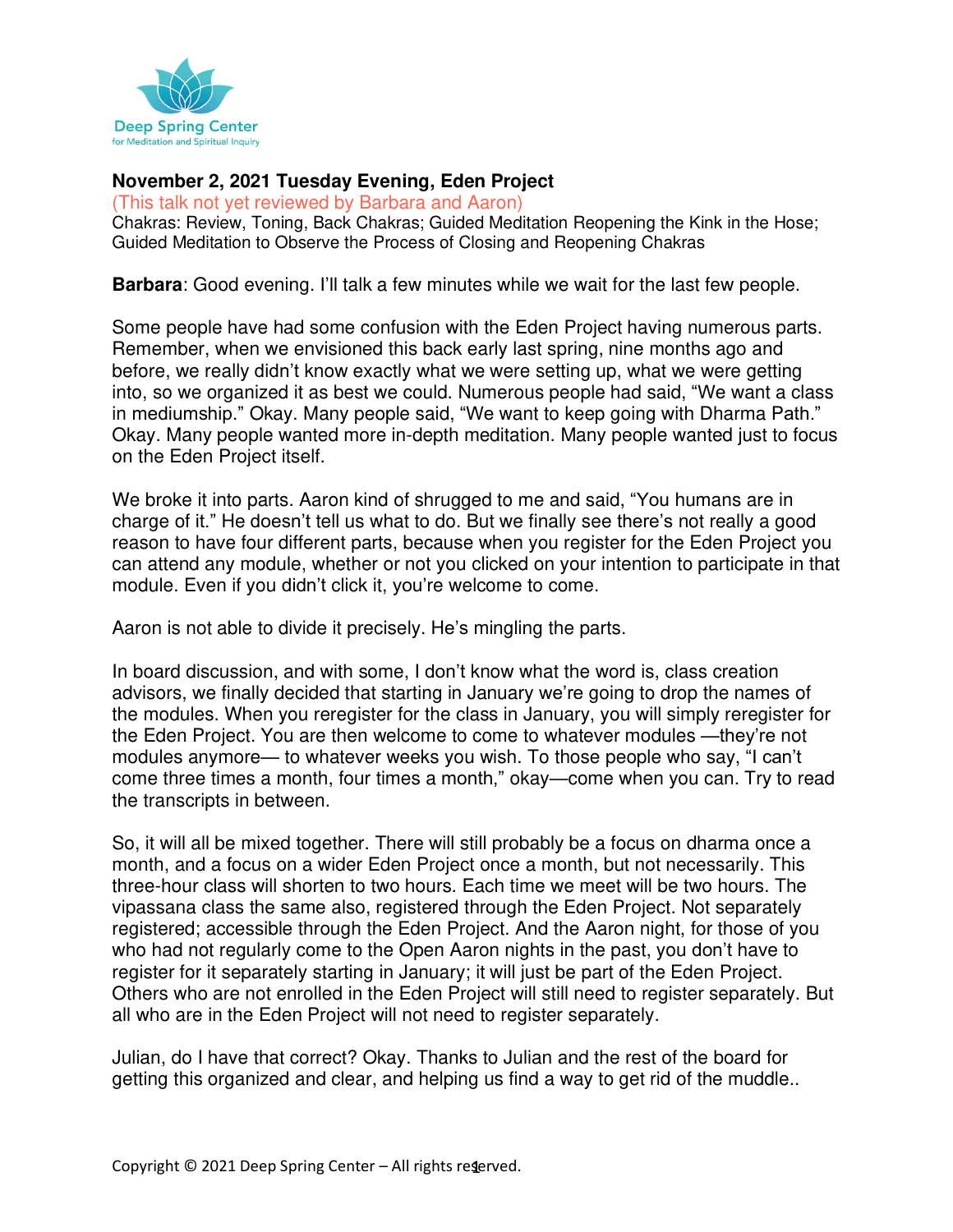

#### **November 2, 2021 Tuesday Evening, Eden Project**

(This talk not yet reviewed by Barbara and Aaron) Chakras: Review, Toning, Back Chakras; Guided Meditation Reopening the Kink in the Hose; Guided Meditation to Observe the Process of Closing and Reopening Chakras

**Barbara**: Good evening. I'll talk a few minutes while we wait for the last few people.

Some people have had some confusion with the Eden Project having numerous parts. Remember, when we envisioned this back early last spring, nine months ago and before, we really didn't know exactly what we were setting up, what we were getting into, so we organized it as best we could. Numerous people had said, "We want a class in mediumship." Okay. Many people said, "We want to keep going with Dharma Path." Okay. Many people wanted more in-depth meditation. Many people wanted just to focus on the Eden Project itself.

We broke it into parts. Aaron kind of shrugged to me and said, "You humans are in charge of it." He doesn't tell us what to do. But we finally see there's not really a good reason to have four different parts, because when you register for the Eden Project you can attend any module, whether or not you clicked on your intention to participate in that module. Even if you didn't click it, you're welcome to come.

Aaron is not able to divide it precisely. He's mingling the parts.

In board discussion, and with some, I don't know what the word is, class creation advisors, we finally decided that starting in January we're going to drop the names of the modules. When you reregister for the class in January, you will simply reregister for the Eden Project. You are then welcome to come to whatever modules —they're not modules anymore— to whatever weeks you wish. To those people who say, "I can't come three times a month, four times a month," okay—come when you can. Try to read the transcripts in between.

So, it will all be mixed together. There will still probably be a focus on dharma once a month, and a focus on a wider Eden Project once a month, but not necessarily. This three-hour class will shorten to two hours. Each time we meet will be two hours. The vipassana class the same also, registered through the Eden Project. Not separately registered; accessible through the Eden Project. And the Aaron night, for those of you who had not regularly come to the Open Aaron nights in the past, you don't have to register for it separately starting in January; it will just be part of the Eden Project. Others who are not enrolled in the Eden Project will still need to register separately. But all who are in the Eden Project will not need to register separately.

Julian, do I have that correct? Okay. Thanks to Julian and the rest of the board for getting this organized and clear, and helping us find a way to get rid of the muddle..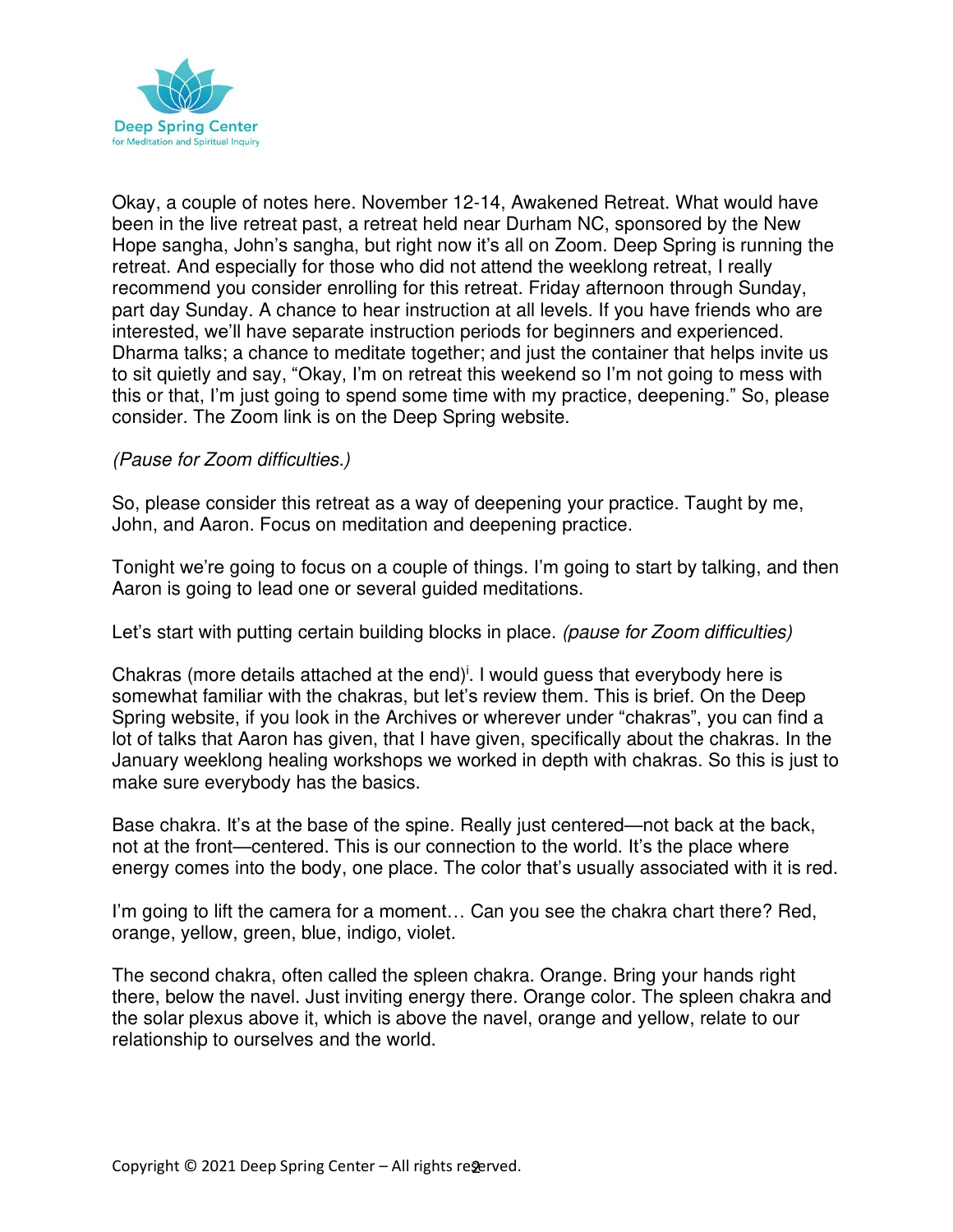

Okay, a couple of notes here. November 12-14, Awakened Retreat. What would have been in the live retreat past, a retreat held near Durham NC, sponsored by the New Hope sangha, John's sangha, but right now it's all on Zoom. Deep Spring is running the retreat. And especially for those who did not attend the weeklong retreat, I really recommend you consider enrolling for this retreat. Friday afternoon through Sunday, part day Sunday. A chance to hear instruction at all levels. If you have friends who are interested, we'll have separate instruction periods for beginners and experienced. Dharma talks; a chance to meditate together; and just the container that helps invite us to sit quietly and say, "Okay, I'm on retreat this weekend so I'm not going to mess with this or that, I'm just going to spend some time with my practice, deepening." So, please consider. The Zoom link is on the Deep Spring website.

#### (Pause for Zoom difficulties.)

So, please consider this retreat as a way of deepening your practice. Taught by me, John, and Aaron. Focus on meditation and deepening practice.

Tonight we're going to focus on a couple of things. I'm going to start by talking, and then Aaron is going to lead one or several guided meditations.

Let's start with putting certain building blocks in place. (pause for Zoom difficulties)

Chakras (more details attached at the end)<sup>i</sup>. I would guess that everybody here is somewhat familiar with the chakras, but let's review them. This is brief. On the Deep Spring website, if you look in the Archives or wherever under "chakras", you can find a lot of talks that Aaron has given, that I have given, specifically about the chakras. In the January weeklong healing workshops we worked in depth with chakras. So this is just to make sure everybody has the basics.

Base chakra. It's at the base of the spine. Really just centered—not back at the back, not at the front—centered. This is our connection to the world. It's the place where energy comes into the body, one place. The color that's usually associated with it is red.

I'm going to lift the camera for a moment… Can you see the chakra chart there? Red, orange, yellow, green, blue, indigo, violet.

The second chakra, often called the spleen chakra. Orange. Bring your hands right there, below the navel. Just inviting energy there. Orange color. The spleen chakra and the solar plexus above it, which is above the navel, orange and yellow, relate to our relationship to ourselves and the world.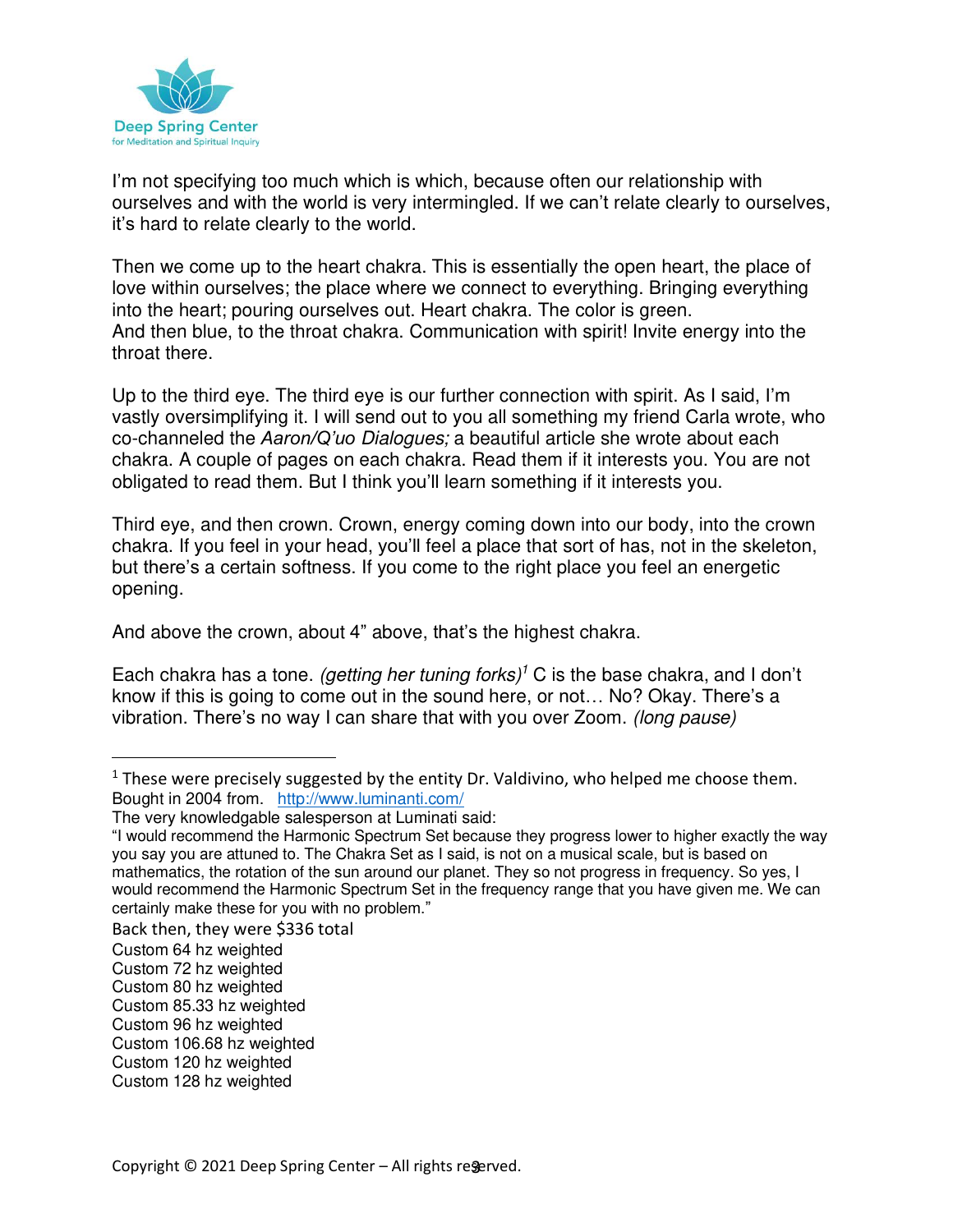

I'm not specifying too much which is which, because often our relationship with ourselves and with the world is very intermingled. If we can't relate clearly to ourselves, it's hard to relate clearly to the world.

Then we come up to the heart chakra. This is essentially the open heart, the place of love within ourselves; the place where we connect to everything. Bringing everything into the heart; pouring ourselves out. Heart chakra. The color is green. And then blue, to the throat chakra. Communication with spirit! Invite energy into the throat there.

Up to the third eye. The third eye is our further connection with spirit. As I said, I'm vastly oversimplifying it. I will send out to you all something my friend Carla wrote, who co-channeled the *Aaron/Q'uo* Dialogues; a beautiful article she wrote about each chakra. A couple of pages on each chakra. Read them if it interests you. You are not obligated to read them. But I think you'll learn something if it interests you.

Third eye, and then crown. Crown, energy coming down into our body, into the crown chakra. If you feel in your head, you'll feel a place that sort of has, not in the skeleton, but there's a certain softness. If you come to the right place you feel an energetic opening.

And above the crown, about 4" above, that's the highest chakra.

Each chakra has a tone. (getting her tuning forks)<sup>1</sup> C is the base chakra, and I don't know if this is going to come out in the sound here, or not… No? Okay. There's a vibration. There's no way I can share that with you over Zoom. (long pause)

Back then, they were \$336 total

 $1$  These were precisely suggested by the entity Dr. Valdivino, who helped me choose them. Bought in 2004 from. <http://www.luminanti.com/>

The very knowledgable salesperson at Luminati said:

<sup>&</sup>quot;I would recommend the Harmonic Spectrum Set because they progress lower to higher exactly the way you say you are attuned to. The Chakra Set as I said, is not on a musical scale, but is based on mathematics, the rotation of the sun around our planet. They so not progress in frequency. So yes, I would recommend the Harmonic Spectrum Set in the frequency range that you have given me. We can certainly make these for you with no problem."

Custom 64 hz weighted

Custom 72 hz weighted

Custom 80 hz weighted

Custom 85.33 hz weighted

Custom 96 hz weighted

Custom 106.68 hz weighted

Custom 120 hz weighted

Custom 128 hz weighted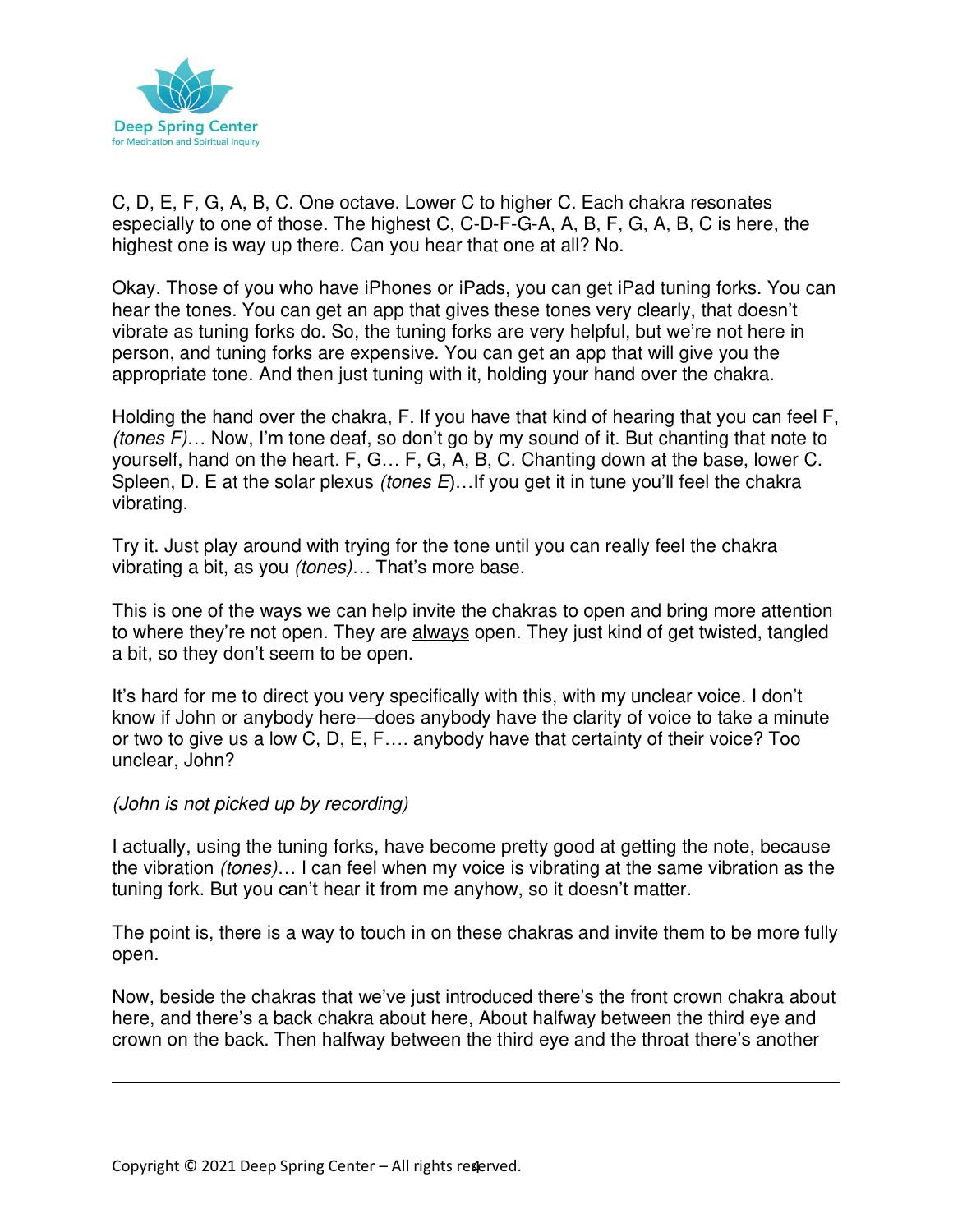

C, D, E, F, G, A, B, C. One octave. Lower C to higher C. Each chakra resonates especially to one of those. The highest C, C-D-F-G-A, A, B, F, G, A, B, C is here, the highest one is way up there. Can you hear that one at all? No.

Okay. Those of you who have iPhones or iPads, you can get iPad tuning forks. You can hear the tones. You can get an app that gives these tones very clearly, that doesn't vibrate as tuning forks do. So, the tuning forks are very helpful, but we're not here in person, and tuning forks are expensive. You can get an app that will give you the appropriate tone. And then just tuning with it, holding your hand over the chakra.

Holding the hand over the chakra, F. If you have that kind of hearing that you can feel F, (tones F)… Now, I'm tone deaf, so don't go by my sound of it. But chanting that note to yourself, hand on the heart. F, G… F, G, A, B, C. Chanting down at the base, lower C. Spleen, D. E at the solar plexus *(tones E)...* If you get it in tune you'll feel the chakra vibrating.

Try it. Just play around with trying for the tone until you can really feel the chakra vibrating a bit, as you (tones)… That's more base.

This is one of the ways we can help invite the chakras to open and bring more attention to where they're not open. They are always open. They just kind of get twisted, tangled a bit, so they don't seem to be open.

It's hard for me to direct you very specifically with this, with my unclear voice. I don't know if John or anybody here—does anybody have the clarity of voice to take a minute or two to give us a low C, D, E, F…. anybody have that certainty of their voice? Too unclear, John?

#### (John is not picked up by recording)

I actually, using the tuning forks, have become pretty good at getting the note, because the vibration (tones)… I can feel when my voice is vibrating at the same vibration as the tuning fork. But you can't hear it from me anyhow, so it doesn't matter.

The point is, there is a way to touch in on these chakras and invite them to be more fully open.

Now, beside the chakras that we've just introduced there's the front crown chakra about here, and there's a back chakra about here, About halfway between the third eye and crown on the back. Then halfway between the third eye and the throat there's another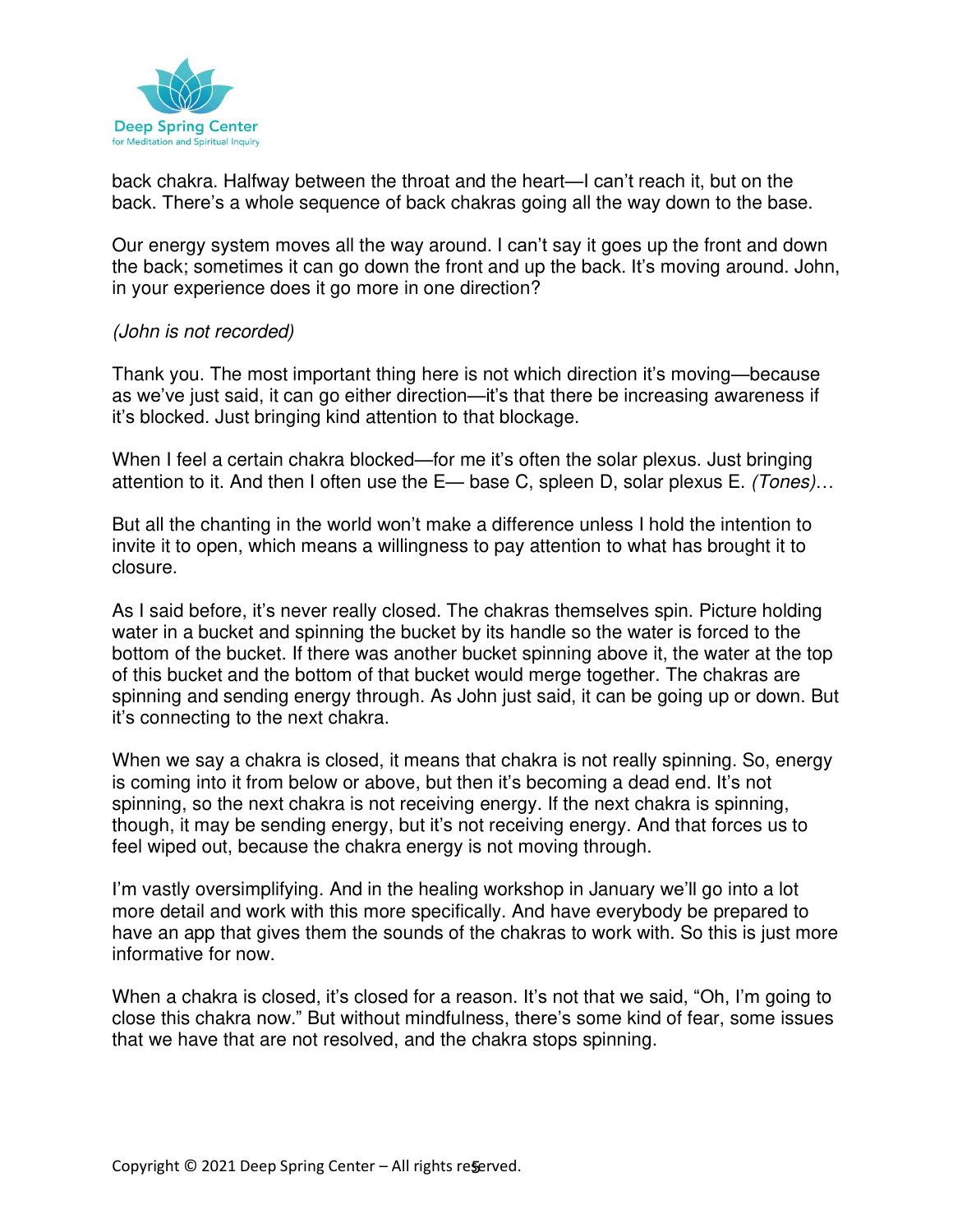

back chakra. Halfway between the throat and the heart—I can't reach it, but on the back. There's a whole sequence of back chakras going all the way down to the base.

Our energy system moves all the way around. I can't say it goes up the front and down the back; sometimes it can go down the front and up the back. It's moving around. John, in your experience does it go more in one direction?

#### (John is not recorded)

Thank you. The most important thing here is not which direction it's moving—because as we've just said, it can go either direction—it's that there be increasing awareness if it's blocked. Just bringing kind attention to that blockage.

When I feel a certain chakra blocked—for me it's often the solar plexus. Just bringing attention to it. And then I often use the E— base C, spleen D, solar plexus E. (Tones)...

But all the chanting in the world won't make a difference unless I hold the intention to invite it to open, which means a willingness to pay attention to what has brought it to closure.

As I said before, it's never really closed. The chakras themselves spin. Picture holding water in a bucket and spinning the bucket by its handle so the water is forced to the bottom of the bucket. If there was another bucket spinning above it, the water at the top of this bucket and the bottom of that bucket would merge together. The chakras are spinning and sending energy through. As John just said, it can be going up or down. But it's connecting to the next chakra.

When we say a chakra is closed, it means that chakra is not really spinning. So, energy is coming into it from below or above, but then it's becoming a dead end. It's not spinning, so the next chakra is not receiving energy. If the next chakra is spinning, though, it may be sending energy, but it's not receiving energy. And that forces us to feel wiped out, because the chakra energy is not moving through.

I'm vastly oversimplifying. And in the healing workshop in January we'll go into a lot more detail and work with this more specifically. And have everybody be prepared to have an app that gives them the sounds of the chakras to work with. So this is just more informative for now.

When a chakra is closed, it's closed for a reason. It's not that we said, "Oh, I'm going to close this chakra now." But without mindfulness, there's some kind of fear, some issues that we have that are not resolved, and the chakra stops spinning.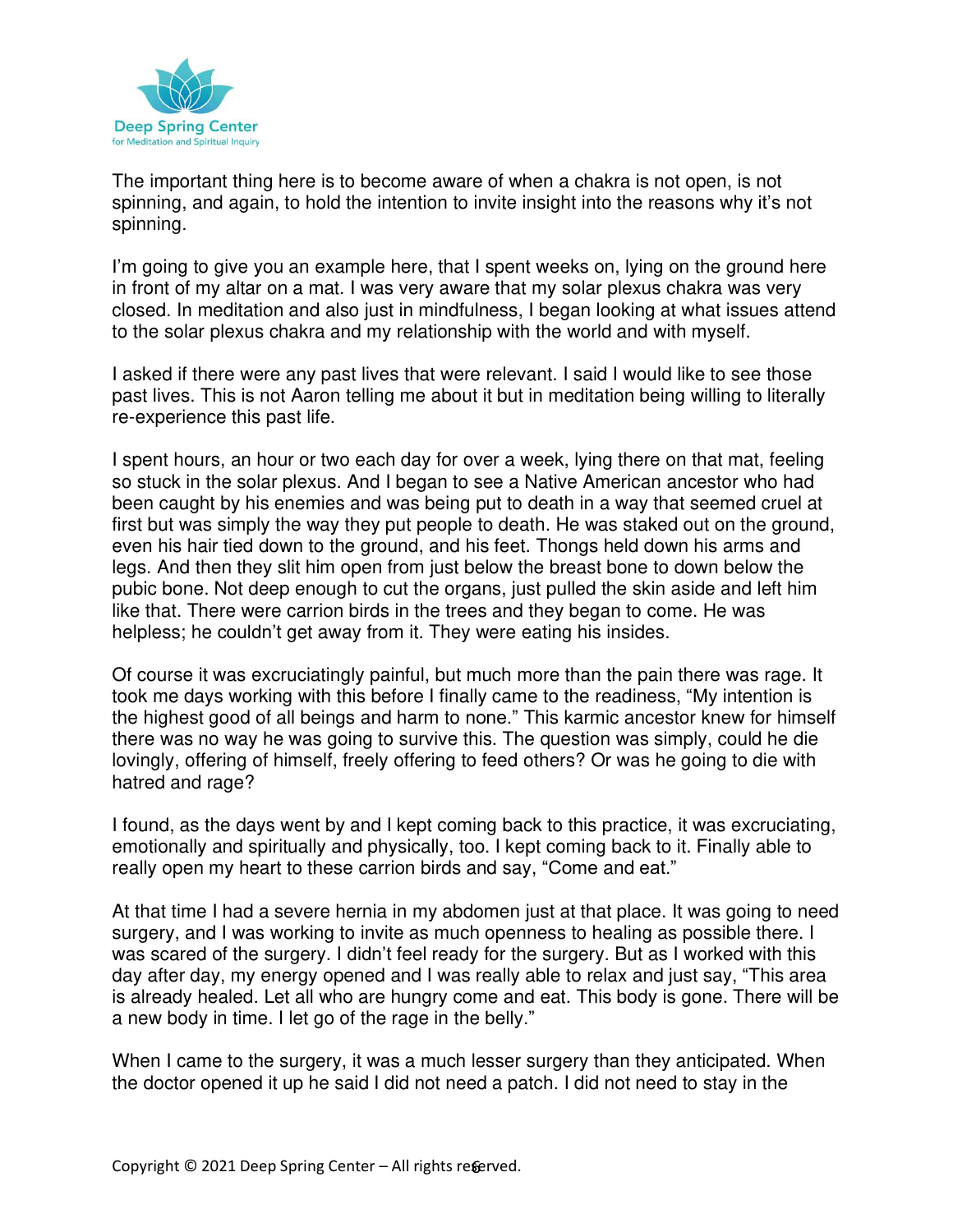

The important thing here is to become aware of when a chakra is not open, is not spinning, and again, to hold the intention to invite insight into the reasons why it's not spinning.

I'm going to give you an example here, that I spent weeks on, lying on the ground here in front of my altar on a mat. I was very aware that my solar plexus chakra was very closed. In meditation and also just in mindfulness, I began looking at what issues attend to the solar plexus chakra and my relationship with the world and with myself.

I asked if there were any past lives that were relevant. I said I would like to see those past lives. This is not Aaron telling me about it but in meditation being willing to literally re-experience this past life.

I spent hours, an hour or two each day for over a week, lying there on that mat, feeling so stuck in the solar plexus. And I began to see a Native American ancestor who had been caught by his enemies and was being put to death in a way that seemed cruel at first but was simply the way they put people to death. He was staked out on the ground, even his hair tied down to the ground, and his feet. Thongs held down his arms and legs. And then they slit him open from just below the breast bone to down below the pubic bone. Not deep enough to cut the organs, just pulled the skin aside and left him like that. There were carrion birds in the trees and they began to come. He was helpless; he couldn't get away from it. They were eating his insides.

Of course it was excruciatingly painful, but much more than the pain there was rage. It took me days working with this before I finally came to the readiness, "My intention is the highest good of all beings and harm to none." This karmic ancestor knew for himself there was no way he was going to survive this. The question was simply, could he die lovingly, offering of himself, freely offering to feed others? Or was he going to die with hatred and rage?

I found, as the days went by and I kept coming back to this practice, it was excruciating, emotionally and spiritually and physically, too. I kept coming back to it. Finally able to really open my heart to these carrion birds and say, "Come and eat."

At that time I had a severe hernia in my abdomen just at that place. It was going to need surgery, and I was working to invite as much openness to healing as possible there. I was scared of the surgery. I didn't feel ready for the surgery. But as I worked with this day after day, my energy opened and I was really able to relax and just say, "This area is already healed. Let all who are hungry come and eat. This body is gone. There will be a new body in time. I let go of the rage in the belly."

When I came to the surgery, it was a much lesser surgery than they anticipated. When the doctor opened it up he said I did not need a patch. I did not need to stay in the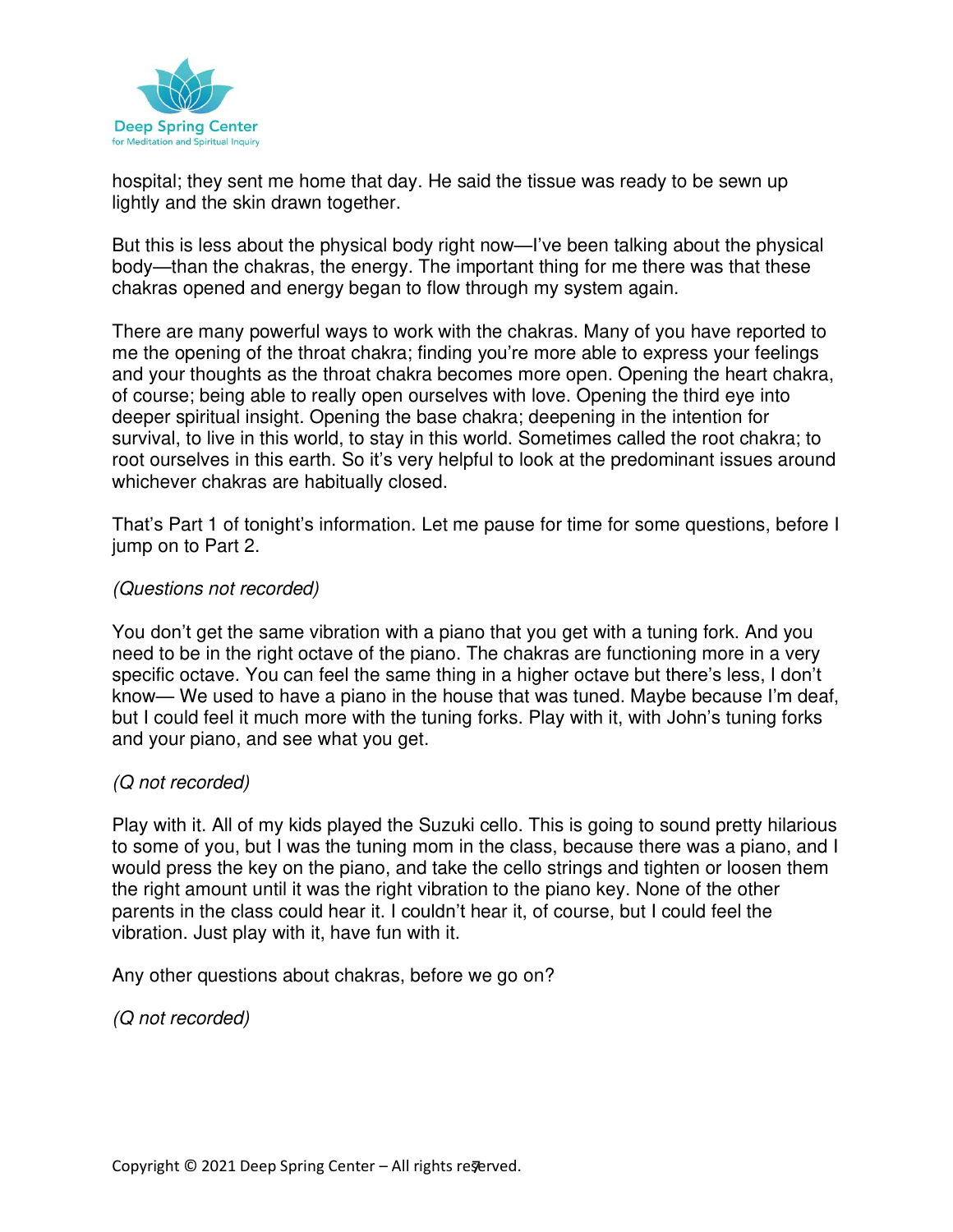

hospital; they sent me home that day. He said the tissue was ready to be sewn up lightly and the skin drawn together.

But this is less about the physical body right now—I've been talking about the physical body—than the chakras, the energy. The important thing for me there was that these chakras opened and energy began to flow through my system again.

There are many powerful ways to work with the chakras. Many of you have reported to me the opening of the throat chakra; finding you're more able to express your feelings and your thoughts as the throat chakra becomes more open. Opening the heart chakra, of course; being able to really open ourselves with love. Opening the third eye into deeper spiritual insight. Opening the base chakra; deepening in the intention for survival, to live in this world, to stay in this world. Sometimes called the root chakra; to root ourselves in this earth. So it's very helpful to look at the predominant issues around whichever chakras are habitually closed.

That's Part 1 of tonight's information. Let me pause for time for some questions, before I jump on to Part 2.

#### (Questions not recorded)

You don't get the same vibration with a piano that you get with a tuning fork. And you need to be in the right octave of the piano. The chakras are functioning more in a very specific octave. You can feel the same thing in a higher octave but there's less, I don't know— We used to have a piano in the house that was tuned. Maybe because I'm deaf, but I could feel it much more with the tuning forks. Play with it, with John's tuning forks and your piano, and see what you get.

#### (Q not recorded)

Play with it. All of my kids played the Suzuki cello. This is going to sound pretty hilarious to some of you, but I was the tuning mom in the class, because there was a piano, and I would press the key on the piano, and take the cello strings and tighten or loosen them the right amount until it was the right vibration to the piano key. None of the other parents in the class could hear it. I couldn't hear it, of course, but I could feel the vibration. Just play with it, have fun with it.

Any other questions about chakras, before we go on?

(Q not recorded)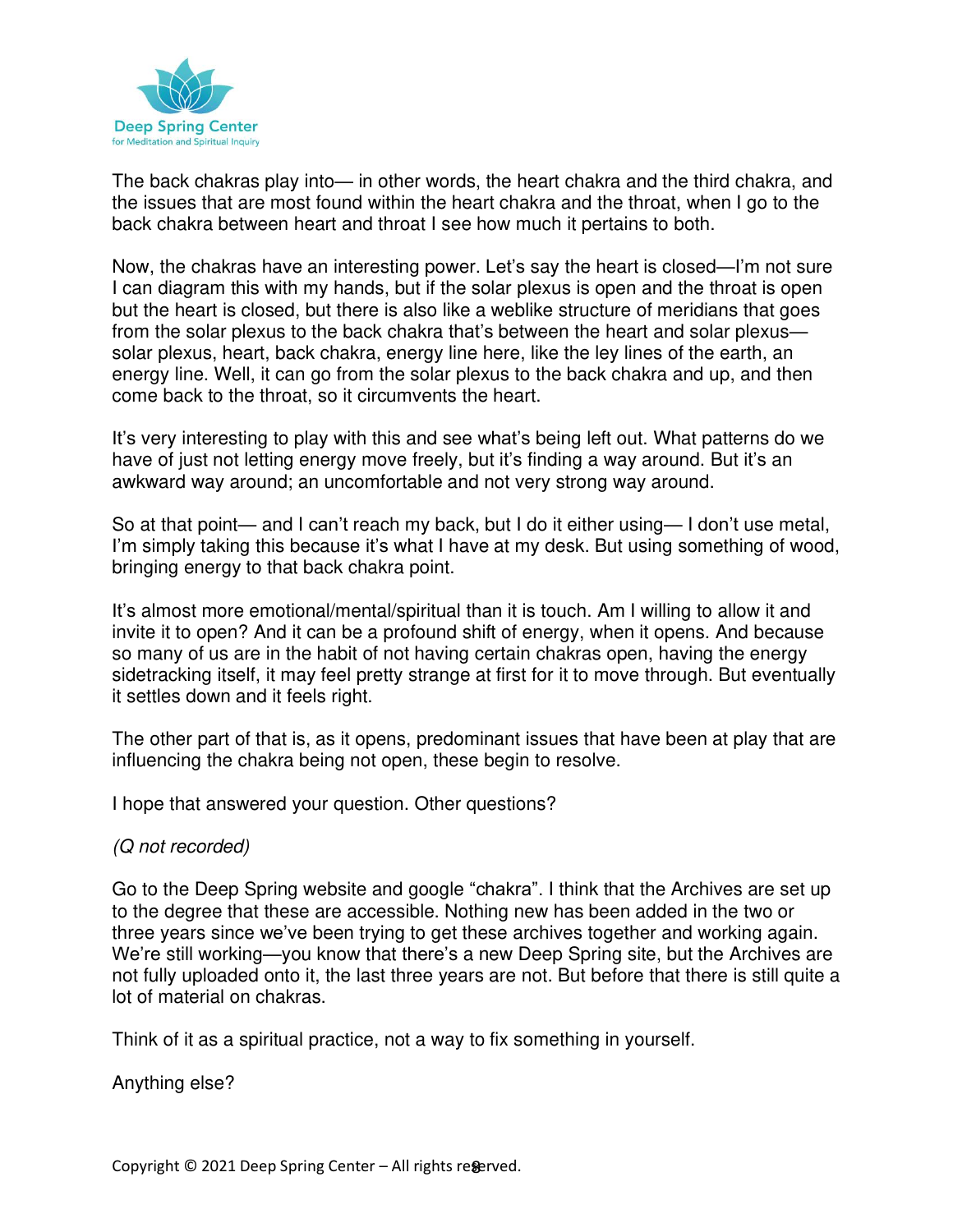

The back chakras play into— in other words, the heart chakra and the third chakra, and the issues that are most found within the heart chakra and the throat, when I go to the back chakra between heart and throat I see how much it pertains to both.

Now, the chakras have an interesting power. Let's say the heart is closed—I'm not sure I can diagram this with my hands, but if the solar plexus is open and the throat is open but the heart is closed, but there is also like a weblike structure of meridians that goes from the solar plexus to the back chakra that's between the heart and solar plexus solar plexus, heart, back chakra, energy line here, like the ley lines of the earth, an energy line. Well, it can go from the solar plexus to the back chakra and up, and then come back to the throat, so it circumvents the heart.

It's very interesting to play with this and see what's being left out. What patterns do we have of just not letting energy move freely, but it's finding a way around. But it's an awkward way around; an uncomfortable and not very strong way around.

So at that point— and I can't reach my back, but I do it either using— I don't use metal, I'm simply taking this because it's what I have at my desk. But using something of wood, bringing energy to that back chakra point.

It's almost more emotional/mental/spiritual than it is touch. Am I willing to allow it and invite it to open? And it can be a profound shift of energy, when it opens. And because so many of us are in the habit of not having certain chakras open, having the energy sidetracking itself, it may feel pretty strange at first for it to move through. But eventually it settles down and it feels right.

The other part of that is, as it opens, predominant issues that have been at play that are influencing the chakra being not open, these begin to resolve.

I hope that answered your question. Other questions?

#### (Q not recorded)

Go to the Deep Spring website and google "chakra". I think that the Archives are set up to the degree that these are accessible. Nothing new has been added in the two or three years since we've been trying to get these archives together and working again. We're still working—you know that there's a new Deep Spring site, but the Archives are not fully uploaded onto it, the last three years are not. But before that there is still quite a lot of material on chakras.

Think of it as a spiritual practice, not a way to fix something in yourself.

Anything else?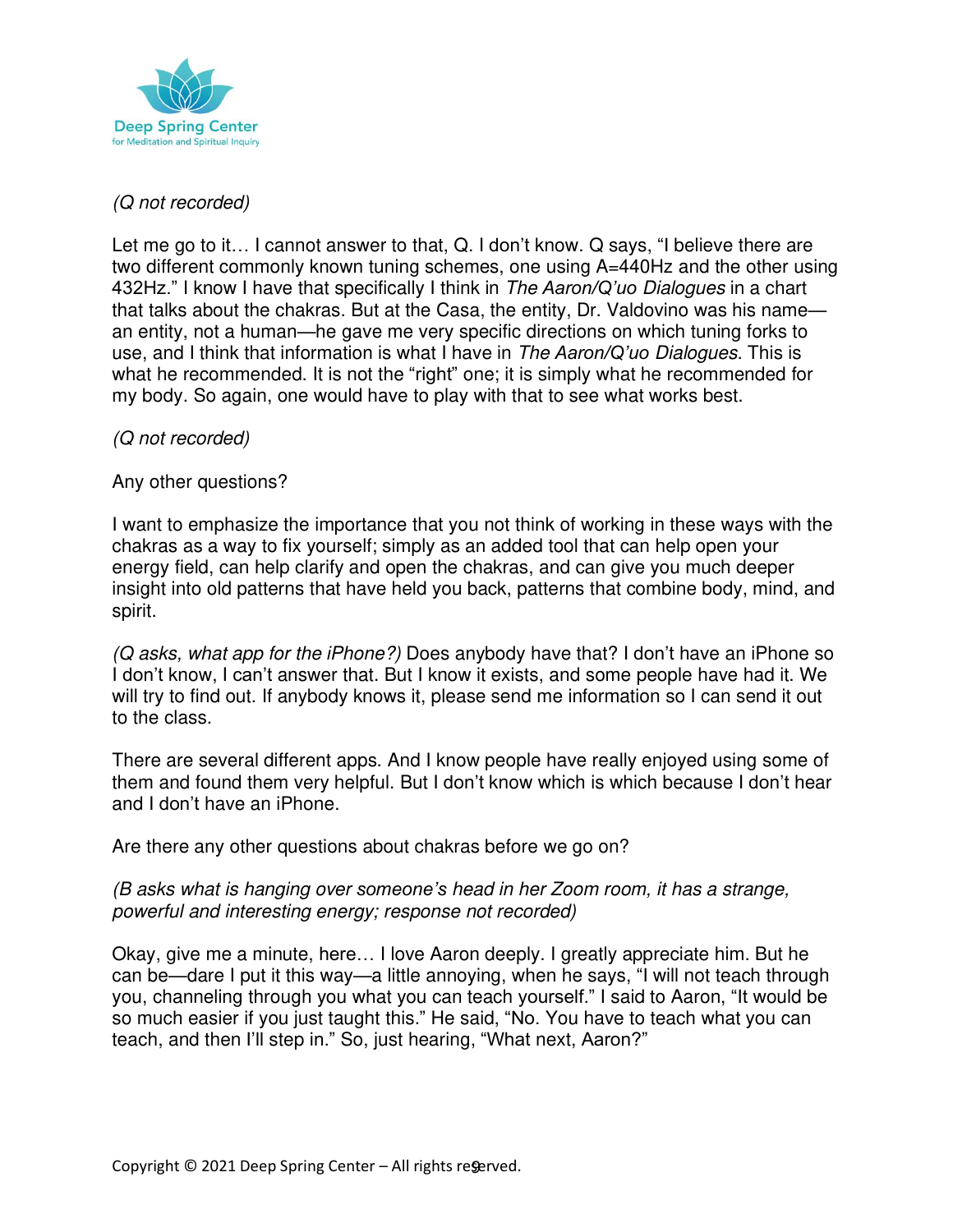

# (Q not recorded)

Let me go to it… I cannot answer to that, Q. I don't know. Q says, "I believe there are two different commonly known tuning schemes, one using A=440Hz and the other using 432Hz." I know I have that specifically I think in The *Aaron/Q'uo* Dialogues in a chart that talks about the chakras. But at the Casa, the entity, Dr. Valdovino was his name an entity, not a human—he gave me very specific directions on which tuning forks to use, and I think that information is what I have in The *Aaron/Q'uo* Dialogues. This is what he recommended. It is not the "right" one; it is simply what he recommended for my body. So again, one would have to play with that to see what works best.

## (Q not recorded)

Any other questions?

I want to emphasize the importance that you not think of working in these ways with the chakras as a way to fix yourself; simply as an added tool that can help open your energy field, can help clarify and open the chakras, and can give you much deeper insight into old patterns that have held you back, patterns that combine body, mind, and spirit.

(Q asks, what app for the iPhone?) Does anybody have that? I don't have an iPhone so I don't know, I can't answer that. But I know it exists, and some people have had it. We will try to find out. If anybody knows it, please send me information so I can send it out to the class.

There are several different apps. And I know people have really enjoyed using some of them and found them very helpful. But I don't know which is which because I don't hear and I don't have an iPhone.

Are there any other questions about chakras before we go on?

#### (B asks what is hanging over *someone's* head in her Zoom room, it has a strange, powerful and interesting energy; response not recorded)

Okay, give me a minute, here… I love Aaron deeply. I greatly appreciate him. But he can be—dare I put it this way—a little annoying, when he says, "I will not teach through you, channeling through you what you can teach yourself." I said to Aaron, "It would be so much easier if you just taught this." He said, "No. You have to teach what you can teach, and then I'll step in." So, just hearing, "What next, Aaron?"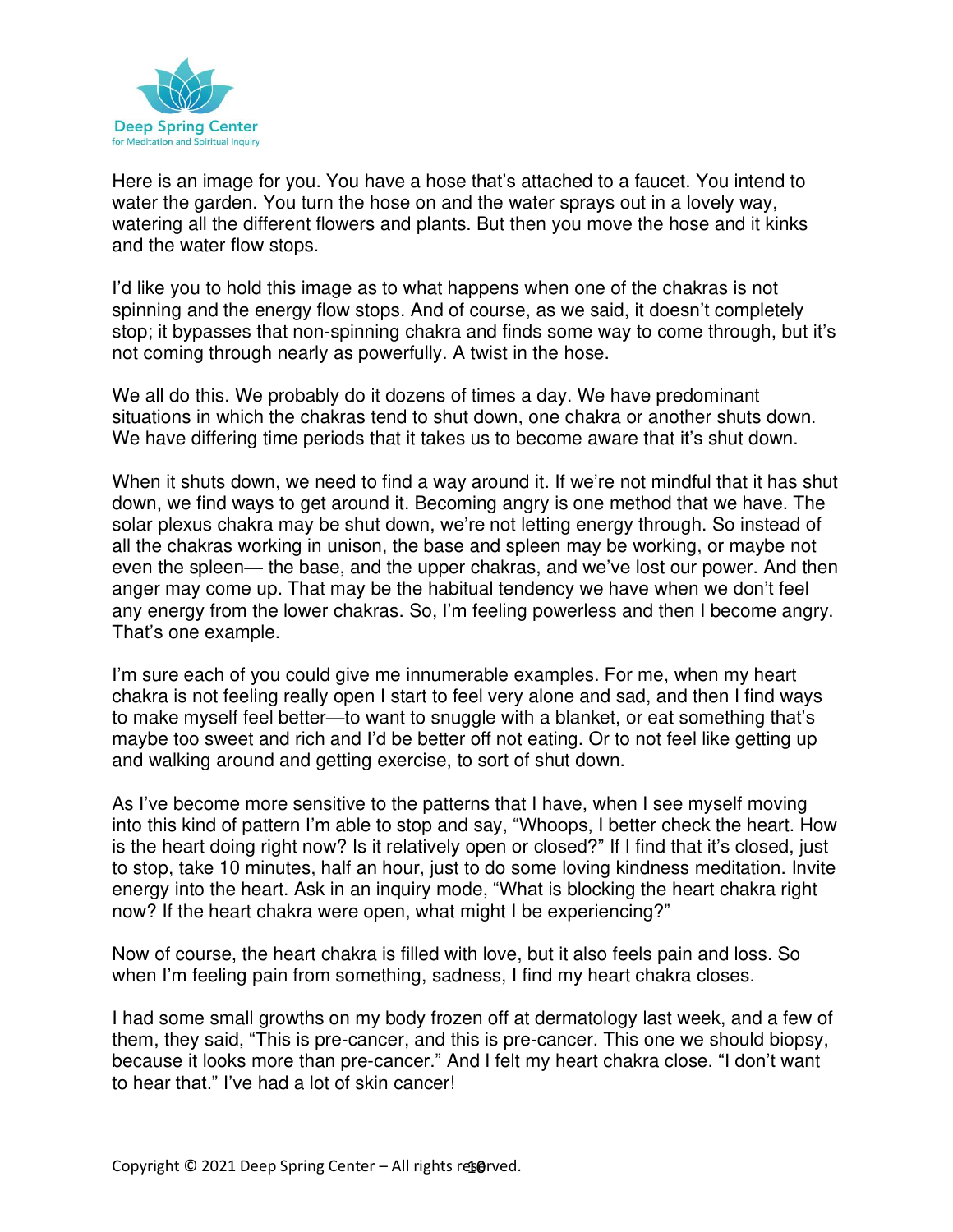

Here is an image for you. You have a hose that's attached to a faucet. You intend to water the garden. You turn the hose on and the water sprays out in a lovely way, watering all the different flowers and plants. But then you move the hose and it kinks and the water flow stops.

I'd like you to hold this image as to what happens when one of the chakras is not spinning and the energy flow stops. And of course, as we said, it doesn't completely stop; it bypasses that non-spinning chakra and finds some way to come through, but it's not coming through nearly as powerfully. A twist in the hose.

We all do this. We probably do it dozens of times a day. We have predominant situations in which the chakras tend to shut down, one chakra or another shuts down. We have differing time periods that it takes us to become aware that it's shut down.

When it shuts down, we need to find a way around it. If we're not mindful that it has shut down, we find ways to get around it. Becoming angry is one method that we have. The solar plexus chakra may be shut down, we're not letting energy through. So instead of all the chakras working in unison, the base and spleen may be working, or maybe not even the spleen— the base, and the upper chakras, and we've lost our power. And then anger may come up. That may be the habitual tendency we have when we don't feel any energy from the lower chakras. So, I'm feeling powerless and then I become angry. That's one example.

I'm sure each of you could give me innumerable examples. For me, when my heart chakra is not feeling really open I start to feel very alone and sad, and then I find ways to make myself feel better—to want to snuggle with a blanket, or eat something that's maybe too sweet and rich and I'd be better off not eating. Or to not feel like getting up and walking around and getting exercise, to sort of shut down.

As I've become more sensitive to the patterns that I have, when I see myself moving into this kind of pattern I'm able to stop and say, "Whoops, I better check the heart. How is the heart doing right now? Is it relatively open or closed?" If I find that it's closed, just to stop, take 10 minutes, half an hour, just to do some loving kindness meditation. Invite energy into the heart. Ask in an inquiry mode, "What is blocking the heart chakra right now? If the heart chakra were open, what might I be experiencing?"

Now of course, the heart chakra is filled with love, but it also feels pain and loss. So when I'm feeling pain from something, sadness, I find my heart chakra closes.

I had some small growths on my body frozen off at dermatology last week, and a few of them, they said, "This is pre-cancer, and this is pre-cancer. This one we should biopsy, because it looks more than pre-cancer." And I felt my heart chakra close. "I don't want to hear that." I've had a lot of skin cancer!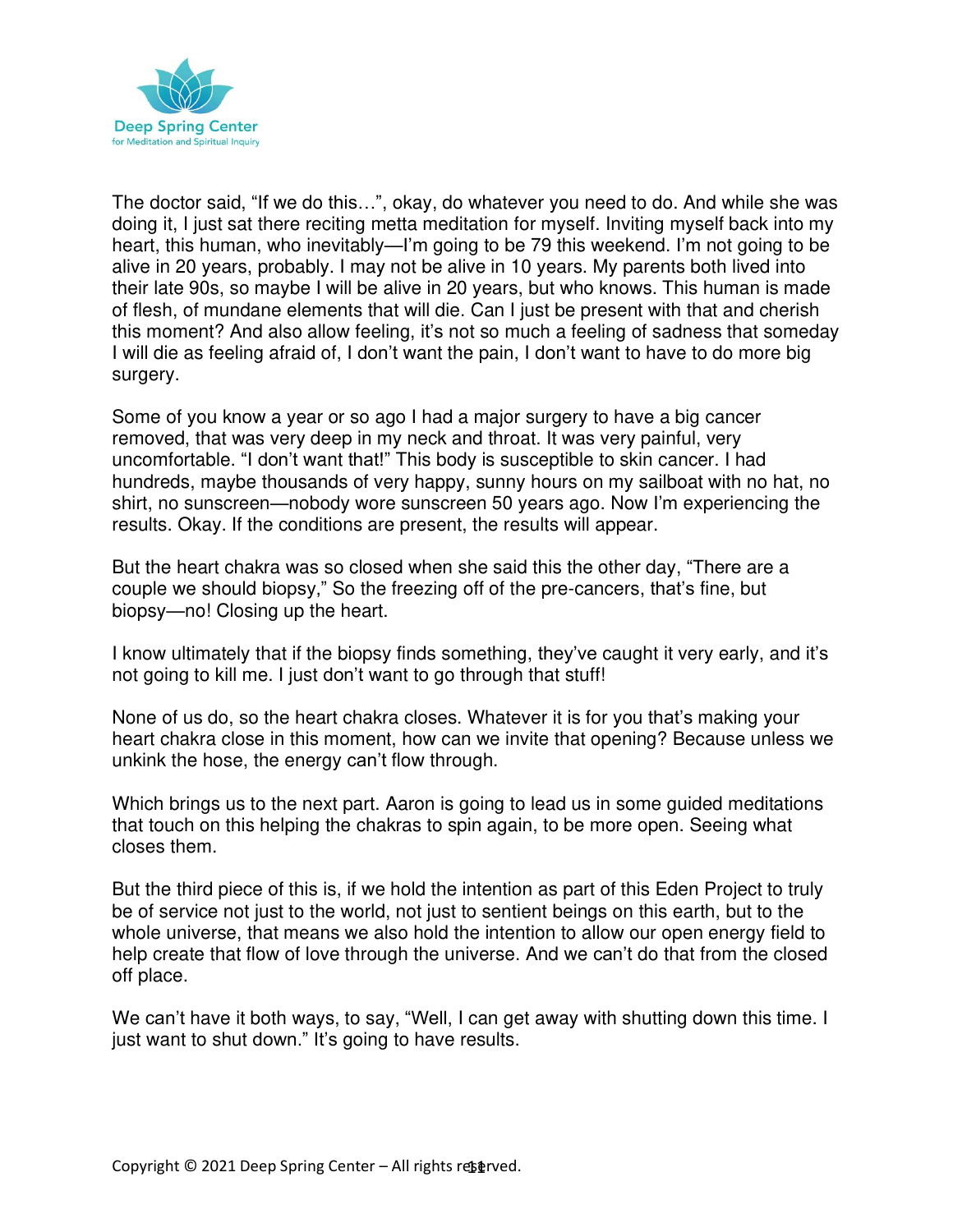

The doctor said, "If we do this…", okay, do whatever you need to do. And while she was doing it, I just sat there reciting metta meditation for myself. Inviting myself back into my heart, this human, who inevitably—I'm going to be 79 this weekend. I'm not going to be alive in 20 years, probably. I may not be alive in 10 years. My parents both lived into their late 90s, so maybe I will be alive in 20 years, but who knows. This human is made of flesh, of mundane elements that will die. Can I just be present with that and cherish this moment? And also allow feeling, it's not so much a feeling of sadness that someday I will die as feeling afraid of, I don't want the pain, I don't want to have to do more big surgery.

Some of you know a year or so ago I had a major surgery to have a big cancer removed, that was very deep in my neck and throat. It was very painful, very uncomfortable. "I don't want that!" This body is susceptible to skin cancer. I had hundreds, maybe thousands of very happy, sunny hours on my sailboat with no hat, no shirt, no sunscreen—nobody wore sunscreen 50 years ago. Now I'm experiencing the results. Okay. If the conditions are present, the results will appear.

But the heart chakra was so closed when she said this the other day, "There are a couple we should biopsy," So the freezing off of the pre-cancers, that's fine, but biopsy—no! Closing up the heart.

I know ultimately that if the biopsy finds something, they've caught it very early, and it's not going to kill me. I just don't want to go through that stuff!

None of us do, so the heart chakra closes. Whatever it is for you that's making your heart chakra close in this moment, how can we invite that opening? Because unless we unkink the hose, the energy can't flow through.

Which brings us to the next part. Aaron is going to lead us in some guided meditations that touch on this helping the chakras to spin again, to be more open. Seeing what closes them.

But the third piece of this is, if we hold the intention as part of this Eden Project to truly be of service not just to the world, not just to sentient beings on this earth, but to the whole universe, that means we also hold the intention to allow our open energy field to help create that flow of love through the universe. And we can't do that from the closed off place.

We can't have it both ways, to say, "Well, I can get away with shutting down this time. I just want to shut down." It's going to have results.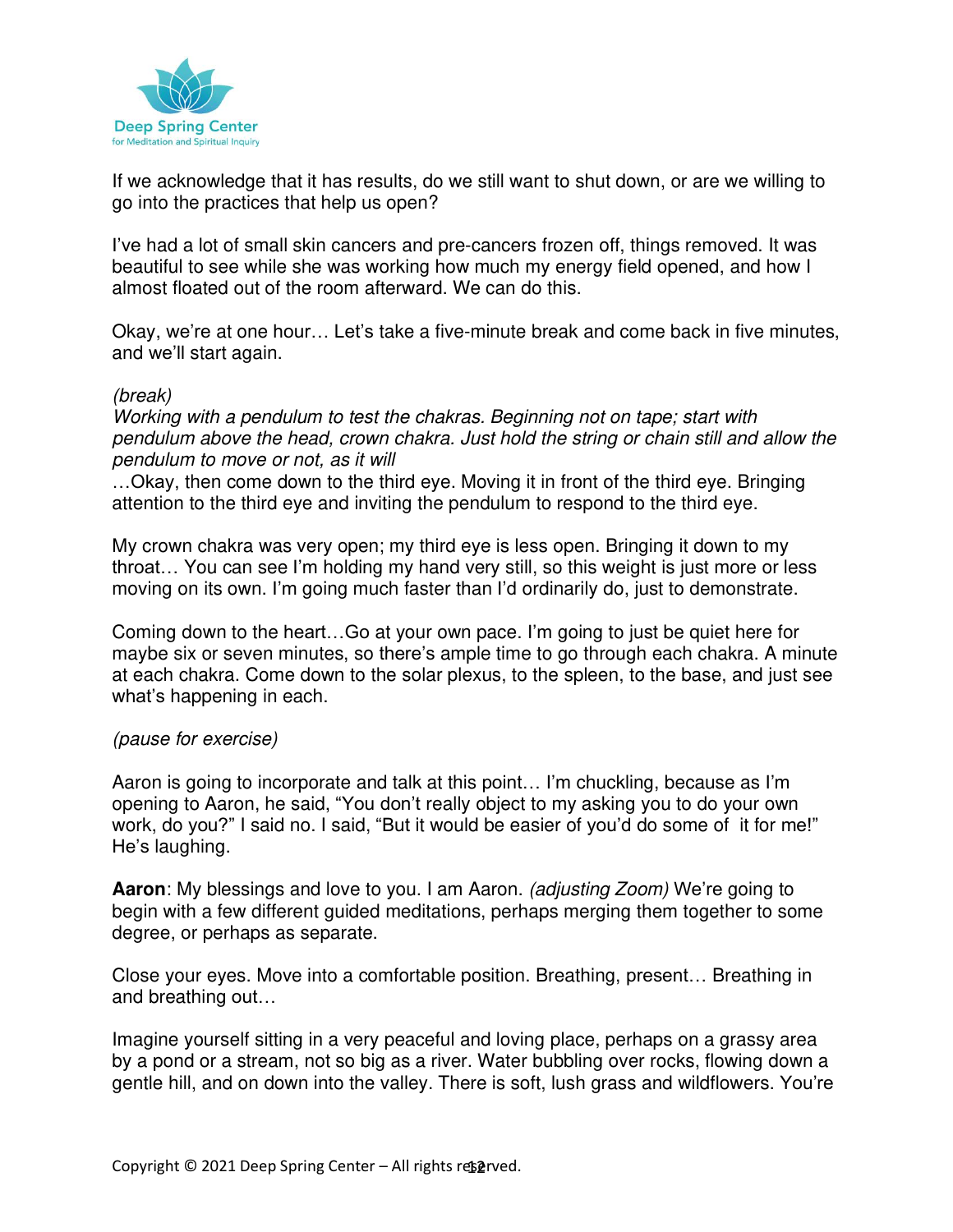

If we acknowledge that it has results, do we still want to shut down, or are we willing to go into the practices that help us open?

I've had a lot of small skin cancers and pre-cancers frozen off, things removed. It was beautiful to see while she was working how much my energy field opened, and how I almost floated out of the room afterward. We can do this.

Okay, we're at one hour… Let's take a five-minute break and come back in five minutes, and we'll start again.

#### (break)

Working with a pendulum to test the chakras. Beginning not on tape; start with pendulum above the head, crown chakra. Just hold the string or chain still and allow the pendulum to move or not, as it will

…Okay, then come down to the third eye. Moving it in front of the third eye. Bringing attention to the third eye and inviting the pendulum to respond to the third eye.

My crown chakra was very open; my third eye is less open. Bringing it down to my throat… You can see I'm holding my hand very still, so this weight is just more or less moving on its own. I'm going much faster than I'd ordinarily do, just to demonstrate.

Coming down to the heart…Go at your own pace. I'm going to just be quiet here for maybe six or seven minutes, so there's ample time to go through each chakra. A minute at each chakra. Come down to the solar plexus, to the spleen, to the base, and just see what's happening in each.

#### (pause for exercise)

Aaron is going to incorporate and talk at this point… I'm chuckling, because as I'm opening to Aaron, he said, "You don't really object to my asking you to do your own work, do you?" I said no. I said, "But it would be easier of you'd do some of it for me!" He's laughing.

**Aaron**: My blessings and love to you. I am Aaron. (adjusting Zoom) We're going to begin with a few different guided meditations, perhaps merging them together to some degree, or perhaps as separate.

Close your eyes. Move into a comfortable position. Breathing, present… Breathing in and breathing out…

Imagine yourself sitting in a very peaceful and loving place, perhaps on a grassy area by a pond or a stream, not so big as a river. Water bubbling over rocks, flowing down a gentle hill, and on down into the valley. There is soft, lush grass and wildflowers. You're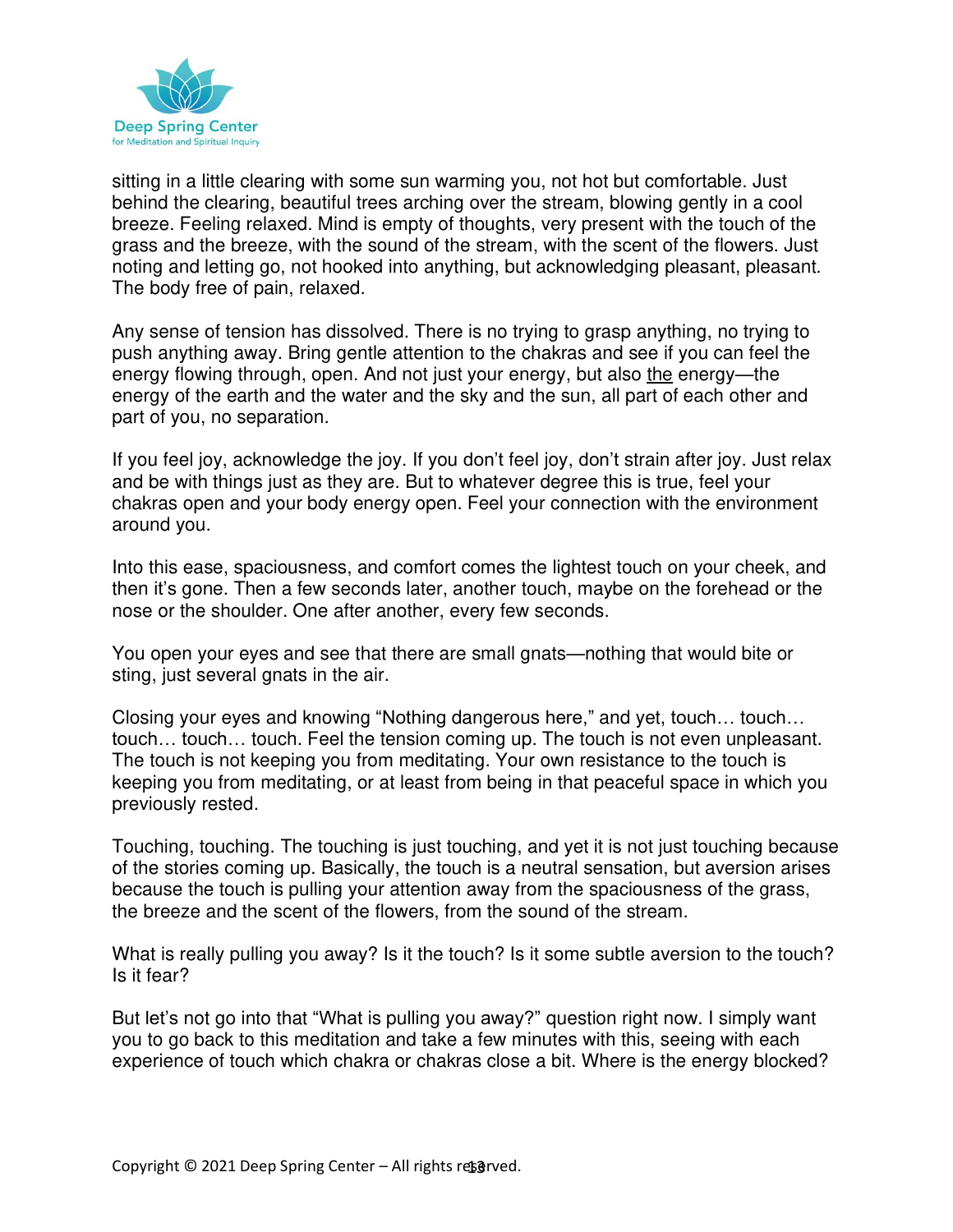

sitting in a little clearing with some sun warming you, not hot but comfortable. Just behind the clearing, beautiful trees arching over the stream, blowing gently in a cool breeze. Feeling relaxed. Mind is empty of thoughts, very present with the touch of the grass and the breeze, with the sound of the stream, with the scent of the flowers. Just noting and letting go, not hooked into anything, but acknowledging pleasant, pleasant. The body free of pain, relaxed.

Any sense of tension has dissolved. There is no trying to grasp anything, no trying to push anything away. Bring gentle attention to the chakras and see if you can feel the energy flowing through, open. And not just your energy, but also the energy—the energy of the earth and the water and the sky and the sun, all part of each other and part of you, no separation.

If you feel joy, acknowledge the joy. If you don't feel joy, don't strain after joy. Just relax and be with things just as they are. But to whatever degree this is true, feel your chakras open and your body energy open. Feel your connection with the environment around you.

Into this ease, spaciousness, and comfort comes the lightest touch on your cheek, and then it's gone. Then a few seconds later, another touch, maybe on the forehead or the nose or the shoulder. One after another, every few seconds.

You open your eyes and see that there are small gnats—nothing that would bite or sting, just several gnats in the air.

Closing your eyes and knowing "Nothing dangerous here," and yet, touch… touch… touch… touch… touch. Feel the tension coming up. The touch is not even unpleasant. The touch is not keeping you from meditating. Your own resistance to the touch is keeping you from meditating, or at least from being in that peaceful space in which you previously rested.

Touching, touching. The touching is just touching, and yet it is not just touching because of the stories coming up. Basically, the touch is a neutral sensation, but aversion arises because the touch is pulling your attention away from the spaciousness of the grass, the breeze and the scent of the flowers, from the sound of the stream.

What is really pulling you away? Is it the touch? Is it some subtle aversion to the touch? Is it fear?

But let's not go into that "What is pulling you away?" question right now. I simply want you to go back to this meditation and take a few minutes with this, seeing with each experience of touch which chakra or chakras close a bit. Where is the energy blocked?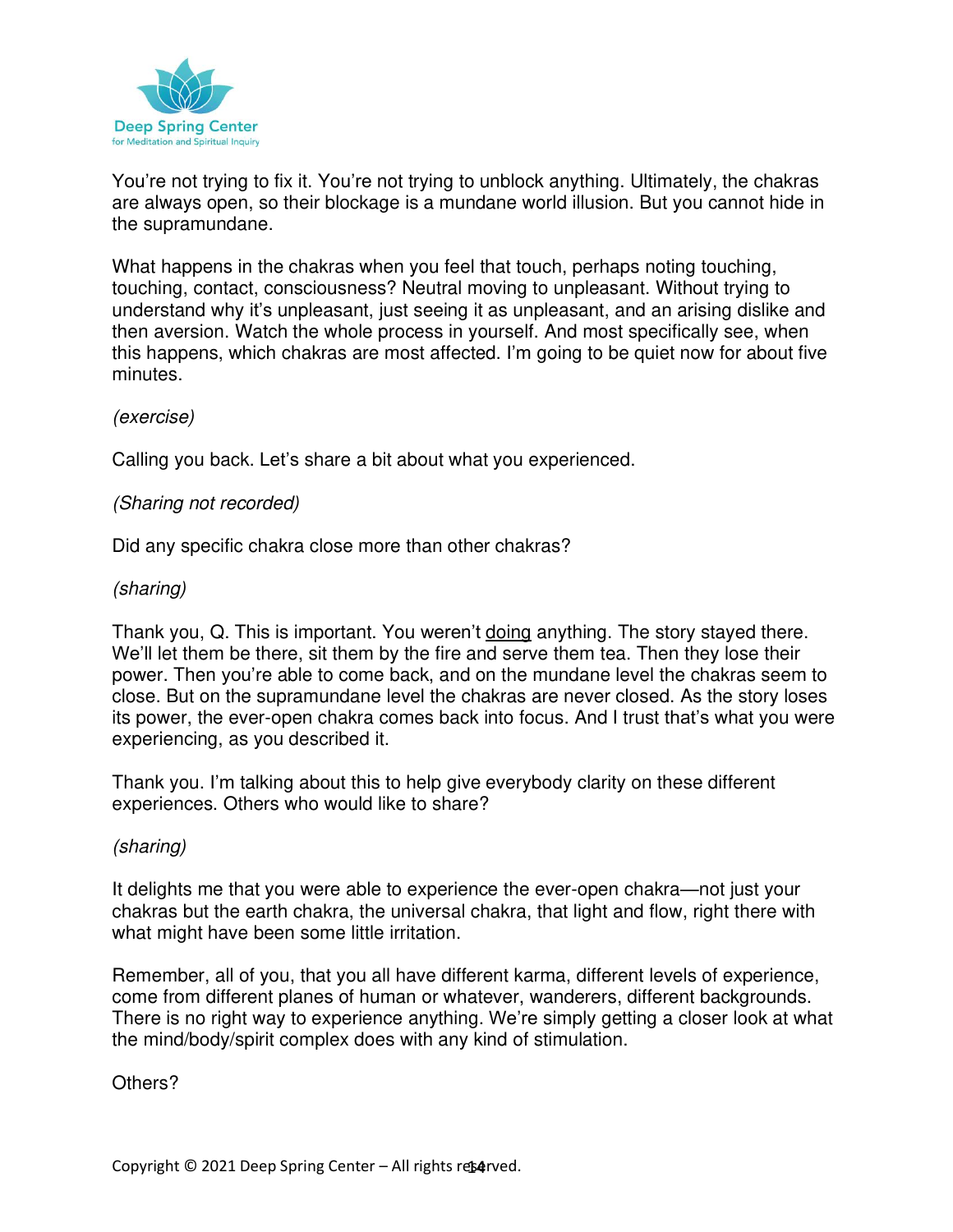

You're not trying to fix it. You're not trying to unblock anything. Ultimately, the chakras are always open, so their blockage is a mundane world illusion. But you cannot hide in the supramundane.

What happens in the chakras when you feel that touch, perhaps noting touching, touching, contact, consciousness? Neutral moving to unpleasant. Without trying to understand why it's unpleasant, just seeing it as unpleasant, and an arising dislike and then aversion. Watch the whole process in yourself. And most specifically see, when this happens, which chakras are most affected. I'm going to be quiet now for about five minutes.

#### (exercise)

Calling you back. Let's share a bit about what you experienced.

## (Sharing not recorded)

Did any specific chakra close more than other chakras?

# (sharing)

Thank you, Q. This is important. You weren't doing anything. The story stayed there. We'll let them be there, sit them by the fire and serve them tea. Then they lose their power. Then you're able to come back, and on the mundane level the chakras seem to close. But on the supramundane level the chakras are never closed. As the story loses its power, the ever-open chakra comes back into focus. And I trust that's what you were experiencing, as you described it.

Thank you. I'm talking about this to help give everybody clarity on these different experiences. Others who would like to share?

#### (sharing)

It delights me that you were able to experience the ever-open chakra—not just your chakras but the earth chakra, the universal chakra, that light and flow, right there with what might have been some little irritation.

Remember, all of you, that you all have different karma, different levels of experience, come from different planes of human or whatever, wanderers, different backgrounds. There is no right way to experience anything. We're simply getting a closer look at what the mind/body/spirit complex does with any kind of stimulation.

Others?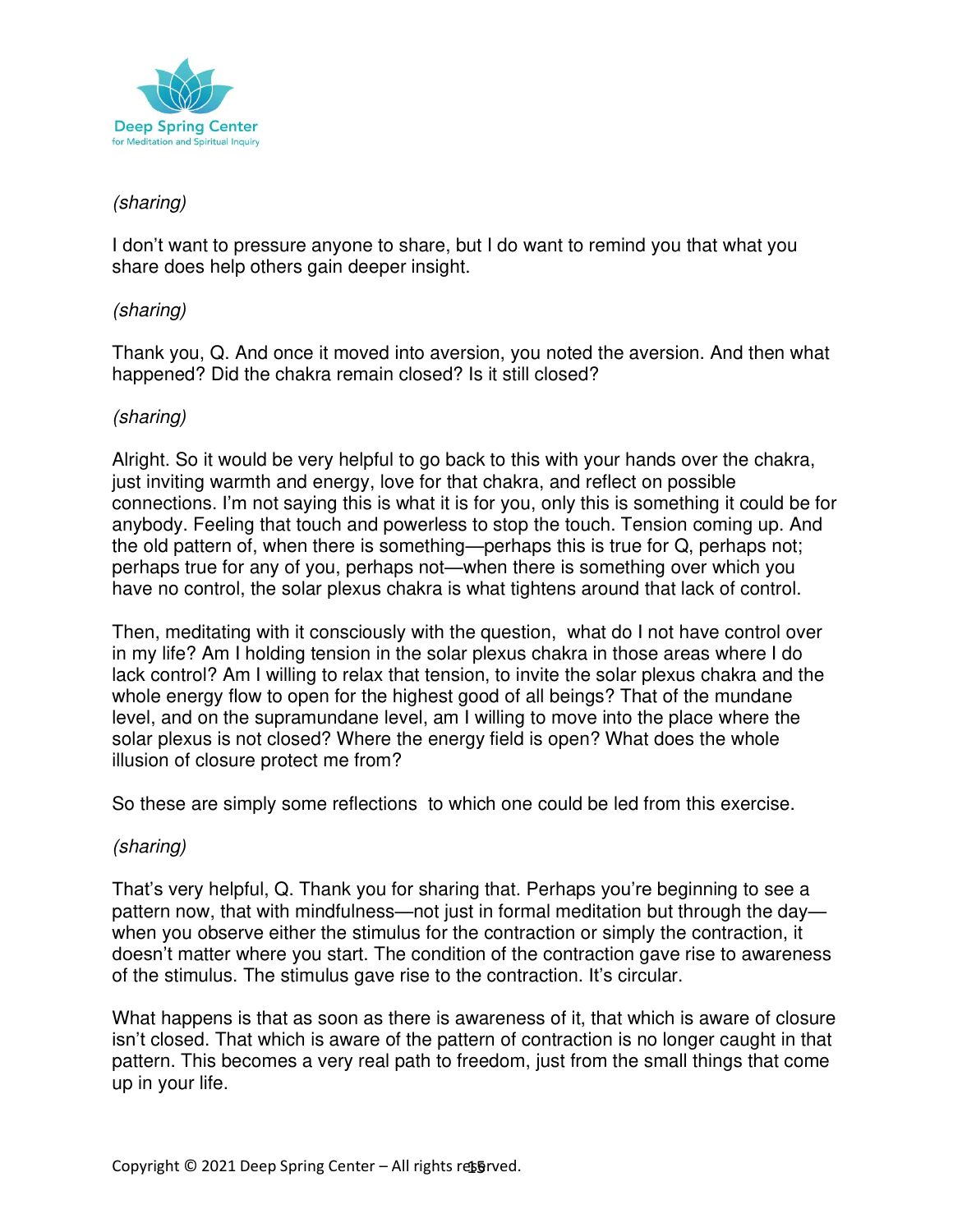

## (sharing)

I don't want to pressure anyone to share, but I do want to remind you that what you share does help others gain deeper insight.

## (sharing)

Thank you, Q. And once it moved into aversion, you noted the aversion. And then what happened? Did the chakra remain closed? Is it still closed?

# (sharing)

Alright. So it would be very helpful to go back to this with your hands over the chakra, just inviting warmth and energy, love for that chakra, and reflect on possible connections. I'm not saying this is what it is for you, only this is something it could be for anybody. Feeling that touch and powerless to stop the touch. Tension coming up. And the old pattern of, when there is something—perhaps this is true for Q, perhaps not; perhaps true for any of you, perhaps not—when there is something over which you have no control, the solar plexus chakra is what tightens around that lack of control.

Then, meditating with it consciously with the question, what do I not have control over in my life? Am I holding tension in the solar plexus chakra in those areas where I do lack control? Am I willing to relax that tension, to invite the solar plexus chakra and the whole energy flow to open for the highest good of all beings? That of the mundane level, and on the supramundane level, am I willing to move into the place where the solar plexus is not closed? Where the energy field is open? What does the whole illusion of closure protect me from?

So these are simply some reflections to which one could be led from this exercise.

# (sharing)

That's very helpful, Q. Thank you for sharing that. Perhaps you're beginning to see a pattern now, that with mindfulness—not just in formal meditation but through the day when you observe either the stimulus for the contraction or simply the contraction, it doesn't matter where you start. The condition of the contraction gave rise to awareness of the stimulus. The stimulus gave rise to the contraction. It's circular.

What happens is that as soon as there is awareness of it, that which is aware of closure isn't closed. That which is aware of the pattern of contraction is no longer caught in that pattern. This becomes a very real path to freedom, just from the small things that come up in your life.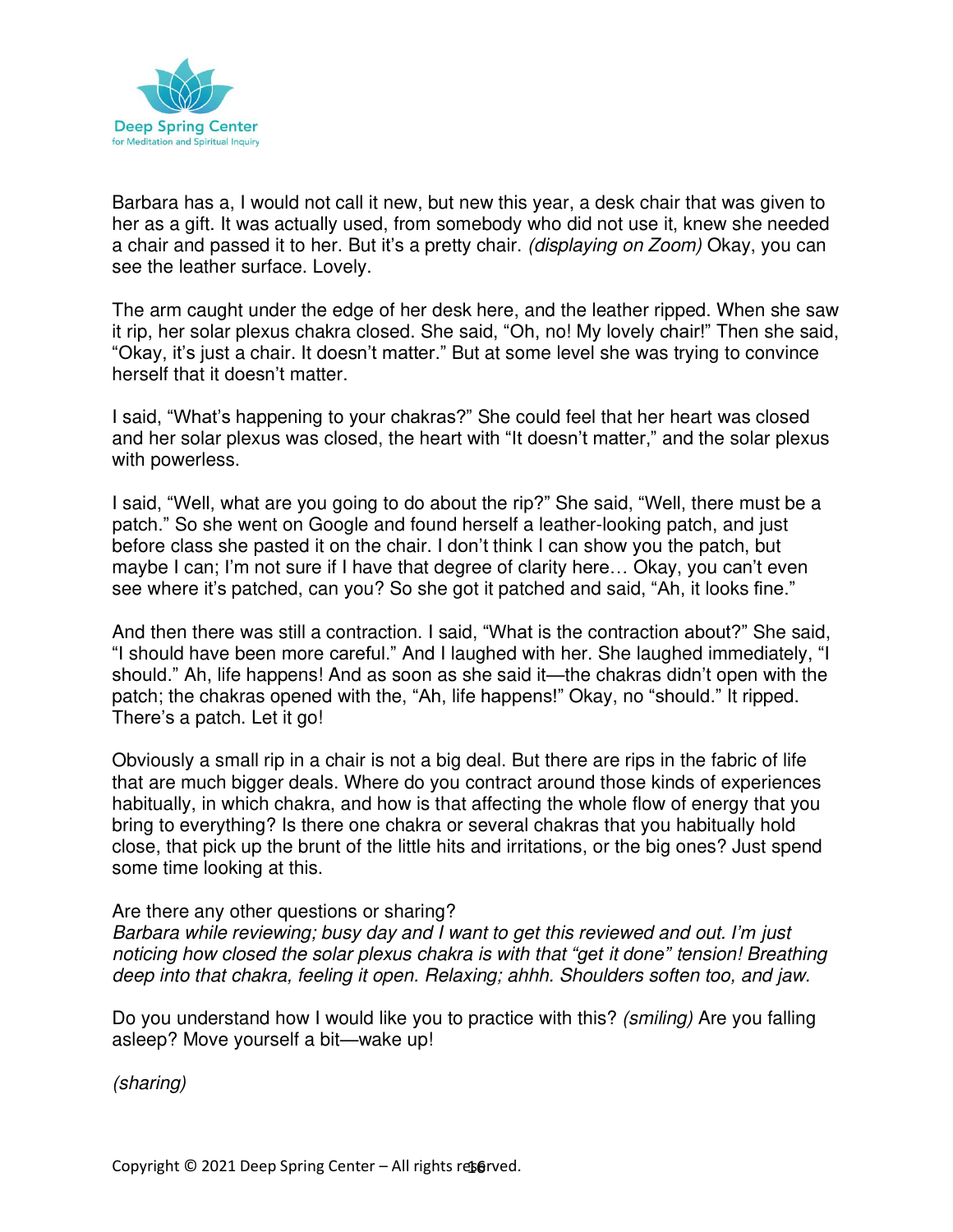

Barbara has a, I would not call it new, but new this year, a desk chair that was given to her as a gift. It was actually used, from somebody who did not use it, knew she needed a chair and passed it to her. But it's a pretty chair. (displaying on Zoom) Okay, you can see the leather surface. Lovely.

The arm caught under the edge of her desk here, and the leather ripped. When she saw it rip, her solar plexus chakra closed. She said, "Oh, no! My lovely chair!" Then she said, "Okay, it's just a chair. It doesn't matter." But at some level she was trying to convince herself that it doesn't matter.

I said, "What's happening to your chakras?" She could feel that her heart was closed and her solar plexus was closed, the heart with "It doesn't matter," and the solar plexus with powerless.

I said, "Well, what are you going to do about the rip?" She said, "Well, there must be a patch." So she went on Google and found herself a leather-looking patch, and just before class she pasted it on the chair. I don't think I can show you the patch, but maybe I can; I'm not sure if I have that degree of clarity here… Okay, you can't even see where it's patched, can you? So she got it patched and said, "Ah, it looks fine."

And then there was still a contraction. I said, "What is the contraction about?" She said, "I should have been more careful." And I laughed with her. She laughed immediately, "I should." Ah, life happens! And as soon as she said it—the chakras didn't open with the patch; the chakras opened with the, "Ah, life happens!" Okay, no "should." It ripped. There's a patch. Let it go!

Obviously a small rip in a chair is not a big deal. But there are rips in the fabric of life that are much bigger deals. Where do you contract around those kinds of experiences habitually, in which chakra, and how is that affecting the whole flow of energy that you bring to everything? Is there one chakra or several chakras that you habitually hold close, that pick up the brunt of the little hits and irritations, or the big ones? Just spend some time looking at this.

Are there any other questions or sharing? Barbara while reviewing; busy day and I want to get this reviewed and out. *I'm* just noticing how closed the solar plexus chakra is with that *"get* it *done"* tension! Breathing deep into that chakra, feeling it open. Relaxing; ahhh. Shoulders soften too, and jaw.

Do you understand how I would like you to practice with this? (smiling) Are you falling asleep? Move yourself a bit—wake up!

(sharing)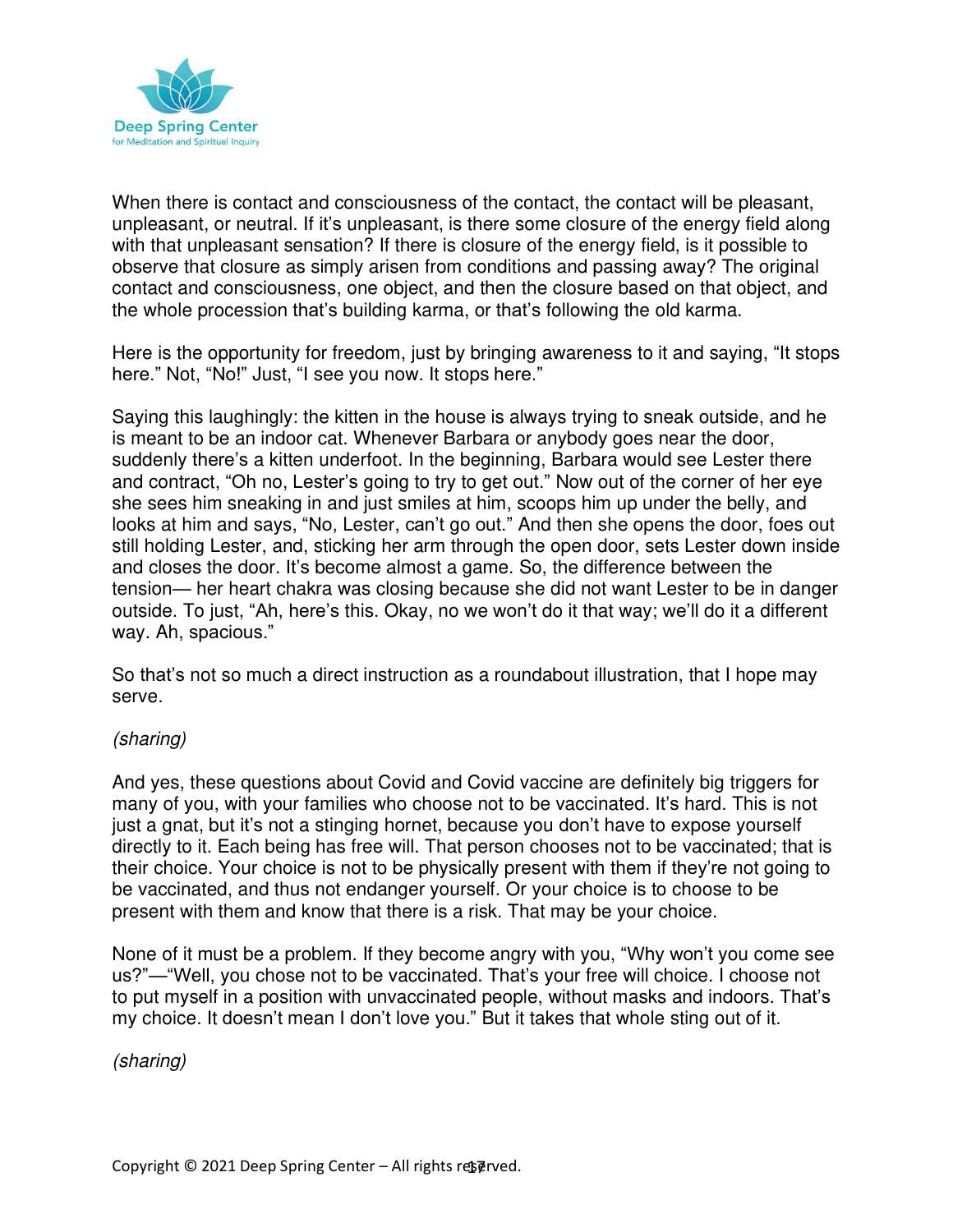

When there is contact and consciousness of the contact, the contact will be pleasant, unpleasant, or neutral. If it's unpleasant, is there some closure of the energy field along with that unpleasant sensation? If there is closure of the energy field, is it possible to observe that closure as simply arisen from conditions and passing away? The original contact and consciousness, one object, and then the closure based on that object, and the whole procession that's building karma, or that's following the old karma.

Here is the opportunity for freedom, just by bringing awareness to it and saying, "It stops here." Not, "No!" Just, "I see you now. It stops here."

Saying this laughingly: the kitten in the house is always trying to sneak outside, and he is meant to be an indoor cat. Whenever Barbara or anybody goes near the door, suddenly there's a kitten underfoot. In the beginning, Barbara would see Lester there and contract, "Oh no, Lester's going to try to get out." Now out of the corner of her eye she sees him sneaking in and just smiles at him, scoops him up under the belly, and looks at him and says, "No, Lester, can't go out." And then she opens the door, foes out still holding Lester, and, sticking her arm through the open door, sets Lester down inside and closes the door. It's become almost a game. So, the difference between the tension— her heart chakra was closing because she did not want Lester to be in danger outside. To just, "Ah, here's this. Okay, no we won't do it that way; we'll do it a different way. Ah, spacious."

So that's not so much a direct instruction as a roundabout illustration, that I hope may serve.

#### (sharing)

And yes, these questions about Covid and Covid vaccine are definitely big triggers for many of you, with your families who choose not to be vaccinated. It's hard. This is not just a gnat, but it's not a stinging hornet, because you don't have to expose yourself directly to it. Each being has free will. That person chooses not to be vaccinated; that is their choice. Your choice is not to be physically present with them if they're not going to be vaccinated, and thus not endanger yourself. Or your choice is to choose to be present with them and know that there is a risk. That may be your choice.

None of it must be a problem. If they become angry with you, "Why won't you come see us?"—"Well, you chose not to be vaccinated. That's your free will choice. I choose not to put myself in a position with unvaccinated people, without masks and indoors. That's my choice. It doesn't mean I don't love you." But it takes that whole sting out of it.

(sharing)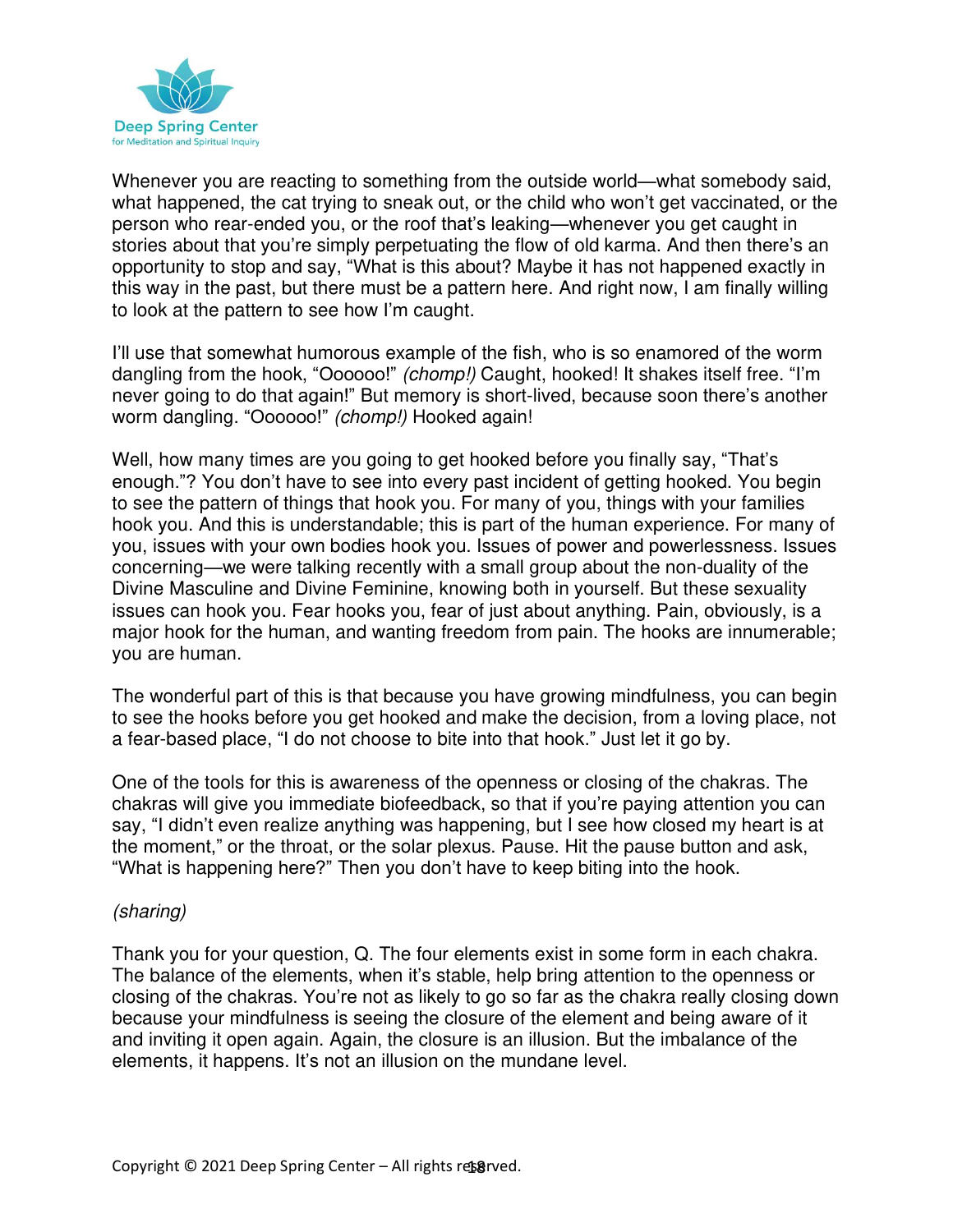

Whenever you are reacting to something from the outside world—what somebody said, what happened, the cat trying to sneak out, or the child who won't get vaccinated, or the person who rear-ended you, or the roof that's leaking—whenever you get caught in stories about that you're simply perpetuating the flow of old karma. And then there's an opportunity to stop and say, "What is this about? Maybe it has not happened exactly in this way in the past, but there must be a pattern here. And right now, I am finally willing to look at the pattern to see how I'm caught.

I'll use that somewhat humorous example of the fish, who is so enamored of the worm dangling from the hook, "Oooooo!" (chomp!) Caught, hooked! It shakes itself free. "I'm never going to do that again!" But memory is short-lived, because soon there's another worm dangling. "Oooooo!" (chomp!) Hooked again!

Well, how many times are you going to get hooked before you finally say, "That's enough."? You don't have to see into every past incident of getting hooked. You begin to see the pattern of things that hook you. For many of you, things with your families hook you. And this is understandable; this is part of the human experience. For many of you, issues with your own bodies hook you. Issues of power and powerlessness. Issues concerning—we were talking recently with a small group about the non-duality of the Divine Masculine and Divine Feminine, knowing both in yourself. But these sexuality issues can hook you. Fear hooks you, fear of just about anything. Pain, obviously, is a major hook for the human, and wanting freedom from pain. The hooks are innumerable; you are human.

The wonderful part of this is that because you have growing mindfulness, you can begin to see the hooks before you get hooked and make the decision, from a loving place, not a fear-based place, "I do not choose to bite into that hook." Just let it go by.

One of the tools for this is awareness of the openness or closing of the chakras. The chakras will give you immediate biofeedback, so that if you're paying attention you can say, "I didn't even realize anything was happening, but I see how closed my heart is at the moment," or the throat, or the solar plexus. Pause. Hit the pause button and ask, "What is happening here?" Then you don't have to keep biting into the hook.

#### (sharing)

Thank you for your question, Q. The four elements exist in some form in each chakra. The balance of the elements, when it's stable, help bring attention to the openness or closing of the chakras. You're not as likely to go so far as the chakra really closing down because your mindfulness is seeing the closure of the element and being aware of it and inviting it open again. Again, the closure is an illusion. But the imbalance of the elements, it happens. It's not an illusion on the mundane level.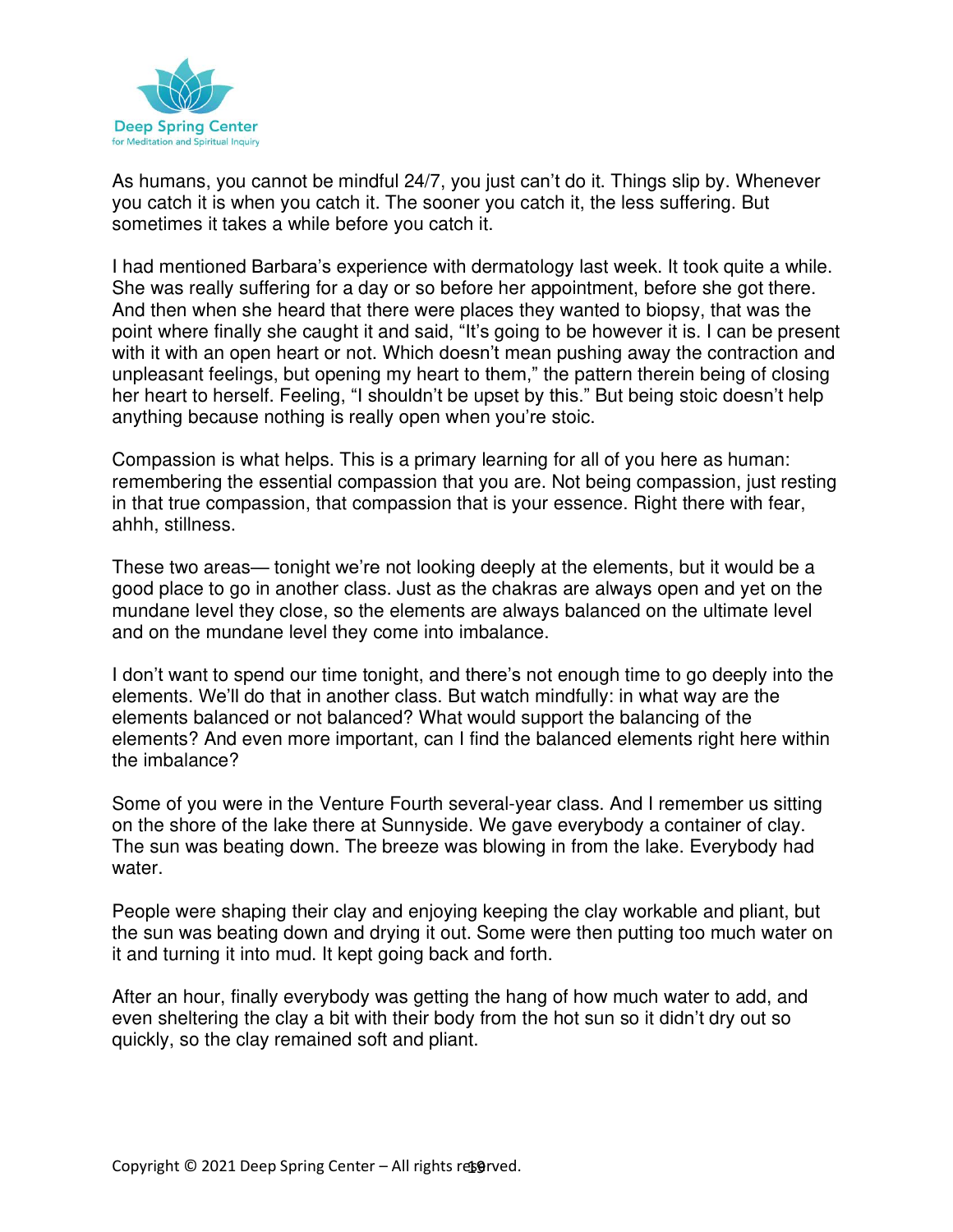

As humans, you cannot be mindful 24/7, you just can't do it. Things slip by. Whenever you catch it is when you catch it. The sooner you catch it, the less suffering. But sometimes it takes a while before you catch it.

I had mentioned Barbara's experience with dermatology last week. It took quite a while. She was really suffering for a day or so before her appointment, before she got there. And then when she heard that there were places they wanted to biopsy, that was the point where finally she caught it and said, "It's going to be however it is. I can be present with it with an open heart or not. Which doesn't mean pushing away the contraction and unpleasant feelings, but opening my heart to them," the pattern therein being of closing her heart to herself. Feeling, "I shouldn't be upset by this." But being stoic doesn't help anything because nothing is really open when you're stoic.

Compassion is what helps. This is a primary learning for all of you here as human: remembering the essential compassion that you are. Not being compassion, just resting in that true compassion, that compassion that is your essence. Right there with fear, ahhh, stillness.

These two areas— tonight we're not looking deeply at the elements, but it would be a good place to go in another class. Just as the chakras are always open and yet on the mundane level they close, so the elements are always balanced on the ultimate level and on the mundane level they come into imbalance.

I don't want to spend our time tonight, and there's not enough time to go deeply into the elements. We'll do that in another class. But watch mindfully: in what way are the elements balanced or not balanced? What would support the balancing of the elements? And even more important, can I find the balanced elements right here within the imbalance?

Some of you were in the Venture Fourth several-year class. And I remember us sitting on the shore of the lake there at Sunnyside. We gave everybody a container of clay. The sun was beating down. The breeze was blowing in from the lake. Everybody had water.

People were shaping their clay and enjoying keeping the clay workable and pliant, but the sun was beating down and drying it out. Some were then putting too much water on it and turning it into mud. It kept going back and forth.

After an hour, finally everybody was getting the hang of how much water to add, and even sheltering the clay a bit with their body from the hot sun so it didn't dry out so quickly, so the clay remained soft and pliant.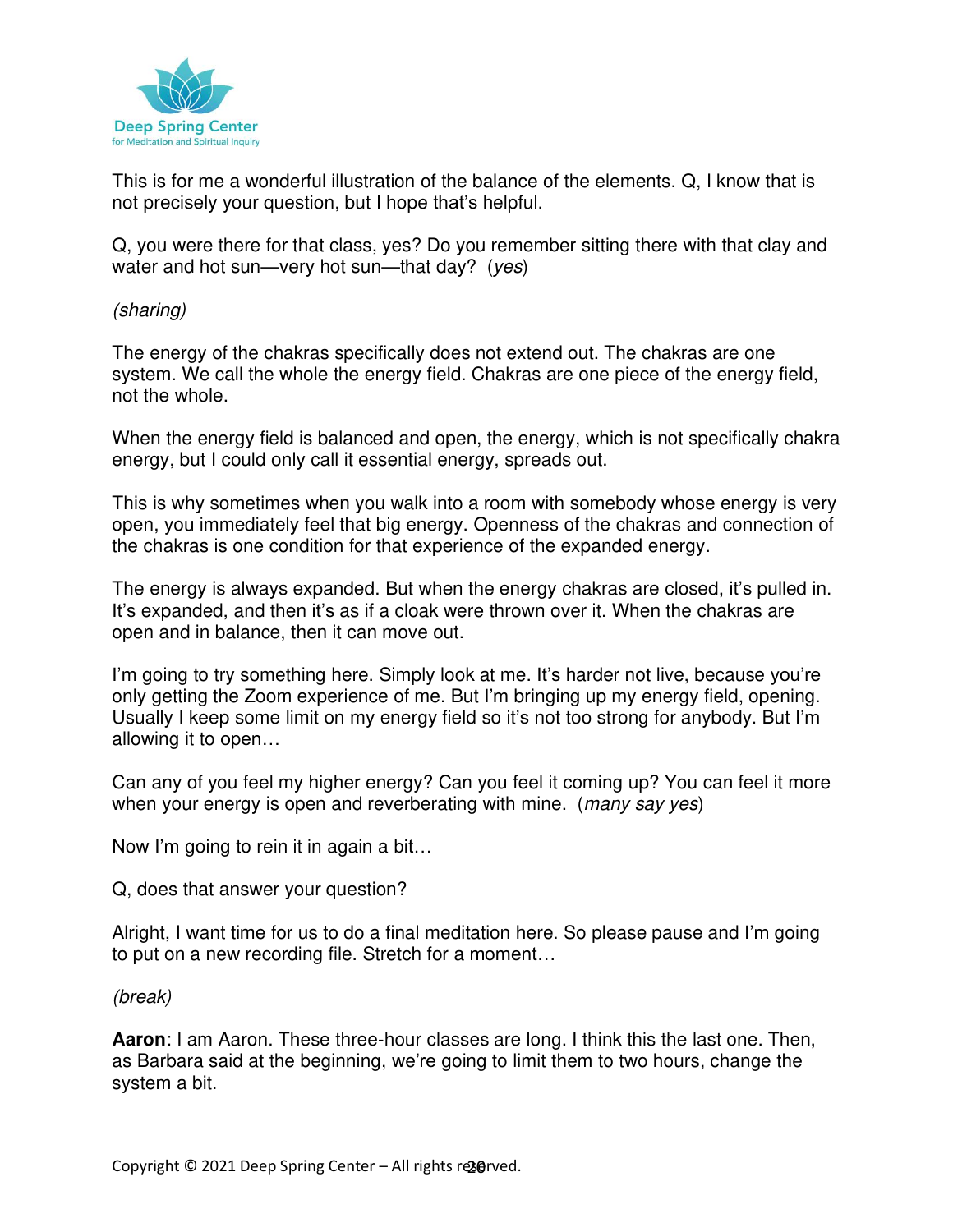

This is for me a wonderful illustration of the balance of the elements. Q, I know that is not precisely your question, but I hope that's helpful.

Q, you were there for that class, yes? Do you remember sitting there with that clay and water and hot sun—very hot sun—that day? (yes)

(sharing)

The energy of the chakras specifically does not extend out. The chakras are one system. We call the whole the energy field. Chakras are one piece of the energy field, not the whole.

When the energy field is balanced and open, the energy, which is not specifically chakra energy, but I could only call it essential energy, spreads out.

This is why sometimes when you walk into a room with somebody whose energy is very open, you immediately feel that big energy. Openness of the chakras and connection of the chakras is one condition for that experience of the expanded energy.

The energy is always expanded. But when the energy chakras are closed, it's pulled in. It's expanded, and then it's as if a cloak were thrown over it. When the chakras are open and in balance, then it can move out.

I'm going to try something here. Simply look at me. It's harder not live, because you're only getting the Zoom experience of me. But I'm bringing up my energy field, opening. Usually I keep some limit on my energy field so it's not too strong for anybody. But I'm allowing it to open…

Can any of you feel my higher energy? Can you feel it coming up? You can feel it more when your energy is open and reverberating with mine. (many say yes)

Now I'm going to rein it in again a bit…

Q, does that answer your question?

Alright, I want time for us to do a final meditation here. So please pause and I'm going to put on a new recording file. Stretch for a moment…

#### (break)

**Aaron**: I am Aaron. These three-hour classes are long. I think this the last one. Then, as Barbara said at the beginning, we're going to limit them to two hours, change the system a bit.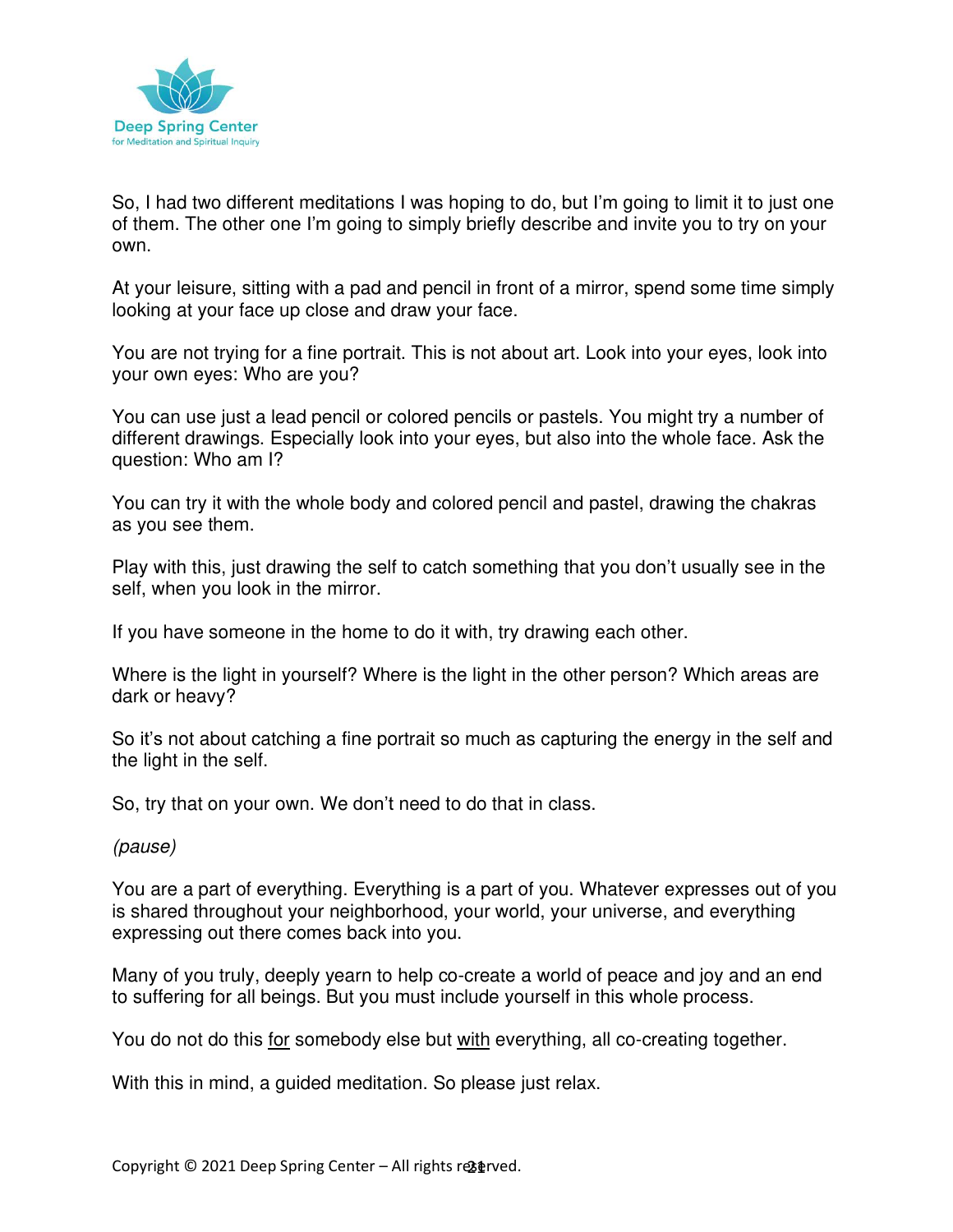

So, I had two different meditations I was hoping to do, but I'm going to limit it to just one of them. The other one I'm going to simply briefly describe and invite you to try on your own.

At your leisure, sitting with a pad and pencil in front of a mirror, spend some time simply looking at your face up close and draw your face.

You are not trying for a fine portrait. This is not about art. Look into your eyes, look into your own eyes: Who are you?

You can use just a lead pencil or colored pencils or pastels. You might try a number of different drawings. Especially look into your eyes, but also into the whole face. Ask the question: Who am I?

You can try it with the whole body and colored pencil and pastel, drawing the chakras as you see them.

Play with this, just drawing the self to catch something that you don't usually see in the self, when you look in the mirror.

If you have someone in the home to do it with, try drawing each other.

Where is the light in yourself? Where is the light in the other person? Which areas are dark or heavy?

So it's not about catching a fine portrait so much as capturing the energy in the self and the light in the self.

So, try that on your own. We don't need to do that in class.

(pause)

You are a part of everything. Everything is a part of you. Whatever expresses out of you is shared throughout your neighborhood, your world, your universe, and everything expressing out there comes back into you.

Many of you truly, deeply yearn to help co-create a world of peace and joy and an end to suffering for all beings. But you must include yourself in this whole process.

You do not do this for somebody else but with everything, all co-creating together.

With this in mind, a guided meditation. So please just relax.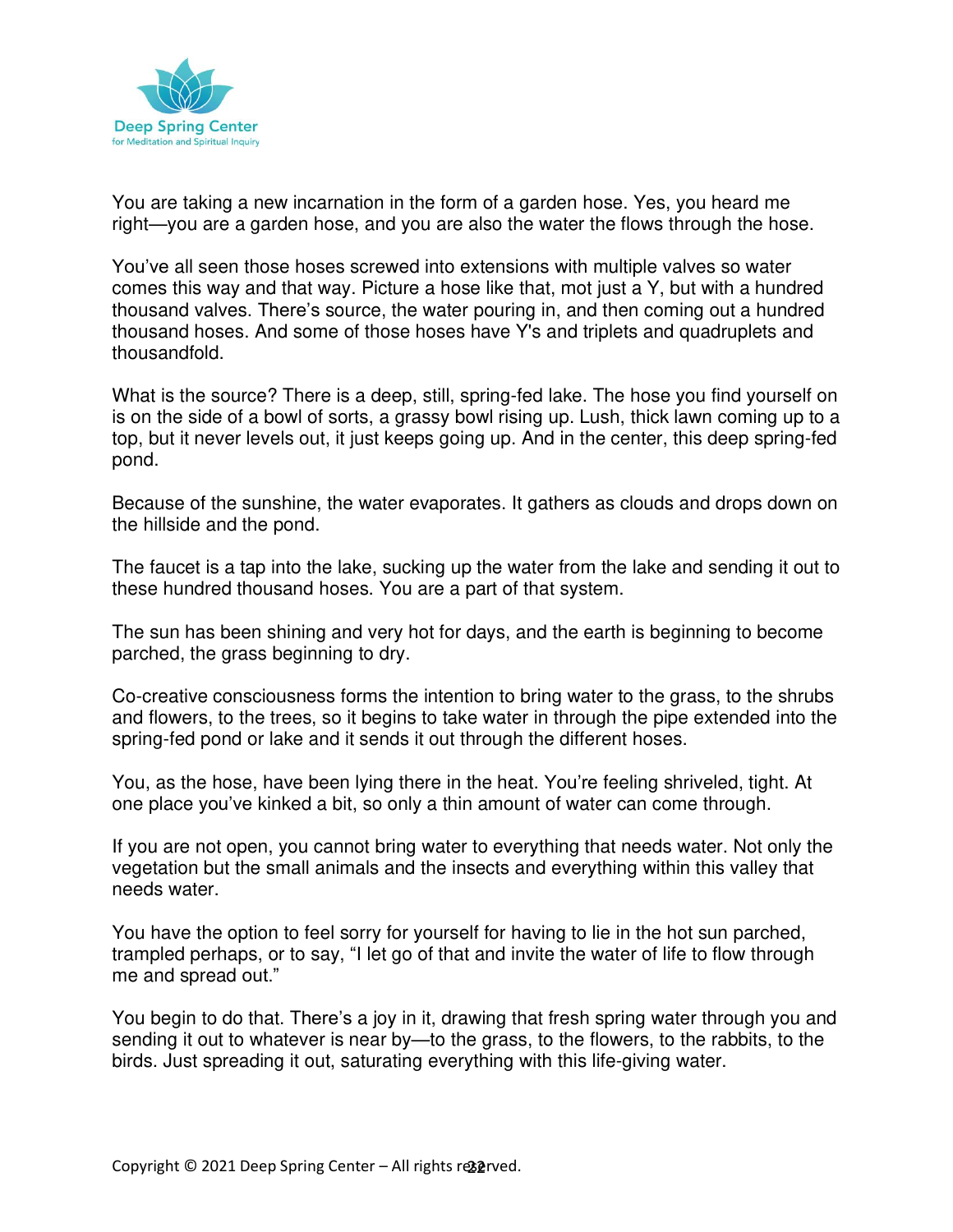

You are taking a new incarnation in the form of a garden hose. Yes, you heard me right—you are a garden hose, and you are also the water the flows through the hose.

You've all seen those hoses screwed into extensions with multiple valves so water comes this way and that way. Picture a hose like that, mot just a Y, but with a hundred thousand valves. There's source, the water pouring in, and then coming out a hundred thousand hoses. And some of those hoses have Y's and triplets and quadruplets and thousandfold.

What is the source? There is a deep, still, spring-fed lake. The hose you find yourself on is on the side of a bowl of sorts, a grassy bowl rising up. Lush, thick lawn coming up to a top, but it never levels out, it just keeps going up. And in the center, this deep spring-fed pond.

Because of the sunshine, the water evaporates. It gathers as clouds and drops down on the hillside and the pond.

The faucet is a tap into the lake, sucking up the water from the lake and sending it out to these hundred thousand hoses. You are a part of that system.

The sun has been shining and very hot for days, and the earth is beginning to become parched, the grass beginning to dry.

Co-creative consciousness forms the intention to bring water to the grass, to the shrubs and flowers, to the trees, so it begins to take water in through the pipe extended into the spring-fed pond or lake and it sends it out through the different hoses.

You, as the hose, have been lying there in the heat. You're feeling shriveled, tight. At one place you've kinked a bit, so only a thin amount of water can come through.

If you are not open, you cannot bring water to everything that needs water. Not only the vegetation but the small animals and the insects and everything within this valley that needs water.

You have the option to feel sorry for yourself for having to lie in the hot sun parched, trampled perhaps, or to say, "I let go of that and invite the water of life to flow through me and spread out."

You begin to do that. There's a joy in it, drawing that fresh spring water through you and sending it out to whatever is near by—to the grass, to the flowers, to the rabbits, to the birds. Just spreading it out, saturating everything with this life-giving water.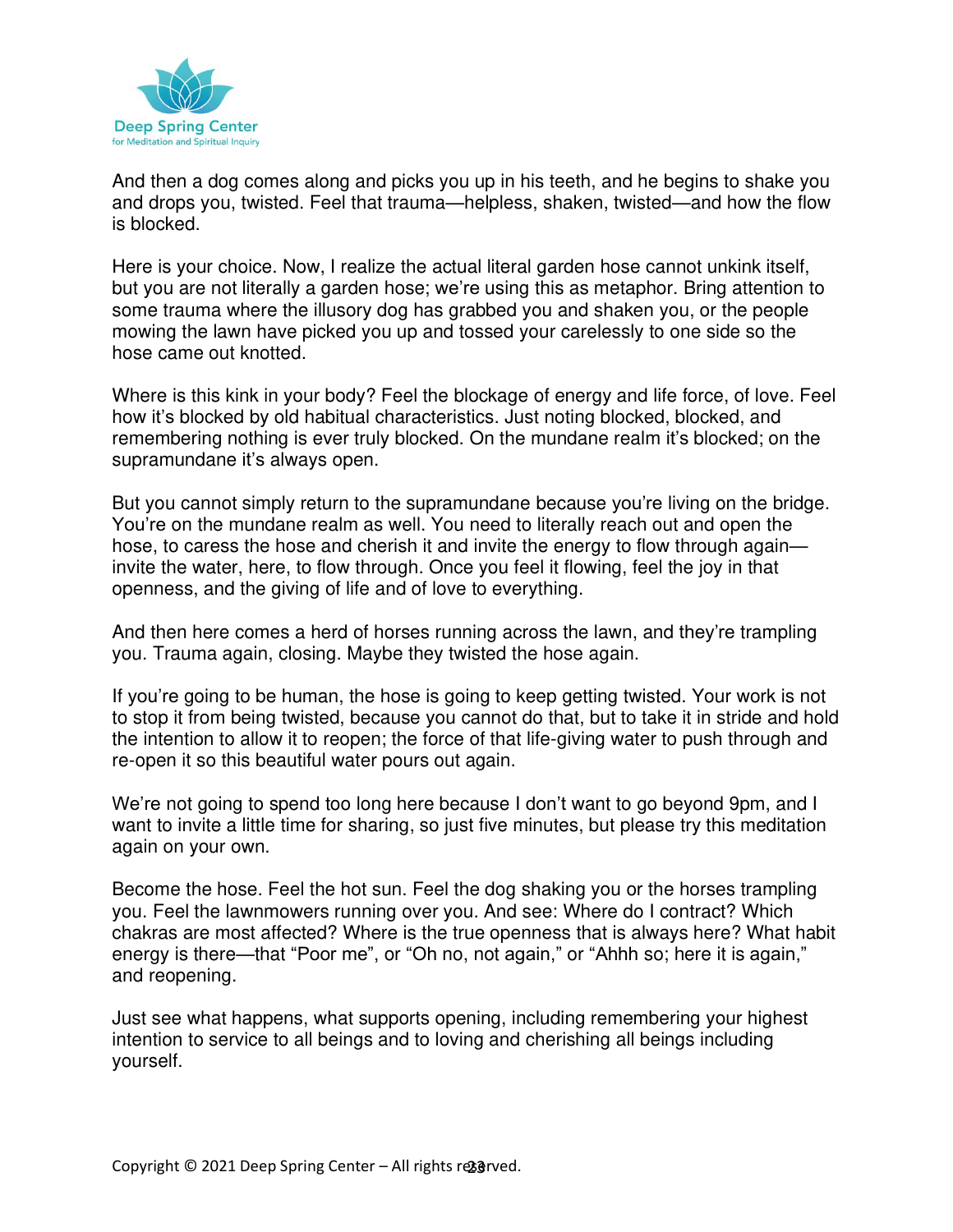

And then a dog comes along and picks you up in his teeth, and he begins to shake you and drops you, twisted. Feel that trauma—helpless, shaken, twisted—and how the flow is blocked.

Here is your choice. Now, I realize the actual literal garden hose cannot unkink itself, but you are not literally a garden hose; we're using this as metaphor. Bring attention to some trauma where the illusory dog has grabbed you and shaken you, or the people mowing the lawn have picked you up and tossed your carelessly to one side so the hose came out knotted.

Where is this kink in your body? Feel the blockage of energy and life force, of love. Feel how it's blocked by old habitual characteristics. Just noting blocked, blocked, and remembering nothing is ever truly blocked. On the mundane realm it's blocked; on the supramundane it's always open.

But you cannot simply return to the supramundane because you're living on the bridge. You're on the mundane realm as well. You need to literally reach out and open the hose, to caress the hose and cherish it and invite the energy to flow through again invite the water, here, to flow through. Once you feel it flowing, feel the joy in that openness, and the giving of life and of love to everything.

And then here comes a herd of horses running across the lawn, and they're trampling you. Trauma again, closing. Maybe they twisted the hose again.

If you're going to be human, the hose is going to keep getting twisted. Your work is not to stop it from being twisted, because you cannot do that, but to take it in stride and hold the intention to allow it to reopen; the force of that life-giving water to push through and re-open it so this beautiful water pours out again.

We're not going to spend too long here because I don't want to go beyond 9pm, and I want to invite a little time for sharing, so just five minutes, but please try this meditation again on your own.

Become the hose. Feel the hot sun. Feel the dog shaking you or the horses trampling you. Feel the lawnmowers running over you. And see: Where do I contract? Which chakras are most affected? Where is the true openness that is always here? What habit energy is there—that "Poor me", or "Oh no, not again," or "Ahhh so; here it is again," and reopening.

Just see what happens, what supports opening, including remembering your highest intention to service to all beings and to loving and cherishing all beings including yourself.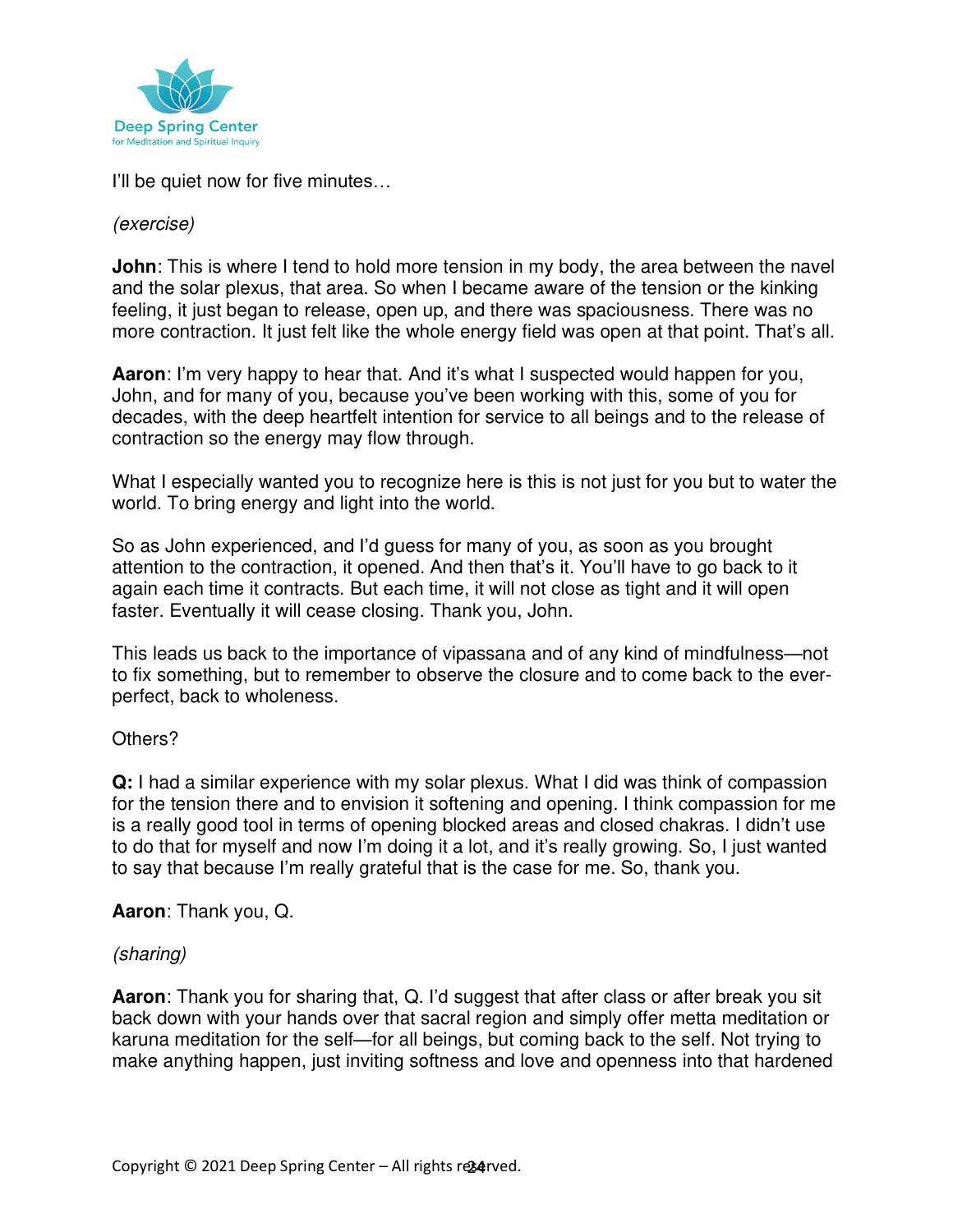

I'll be quiet now for five minutes…

#### (exercise)

**John**: This is where I tend to hold more tension in my body, the area between the navel and the solar plexus, that area. So when I became aware of the tension or the kinking feeling, it just began to release, open up, and there was spaciousness. There was no more contraction. It just felt like the whole energy field was open at that point. That's all.

**Aaron**: I'm very happy to hear that. And it's what I suspected would happen for you, John, and for many of you, because you've been working with this, some of you for decades, with the deep heartfelt intention for service to all beings and to the release of contraction so the energy may flow through.

What I especially wanted you to recognize here is this is not just for you but to water the world. To bring energy and light into the world.

So as John experienced, and I'd guess for many of you, as soon as you brought attention to the contraction, it opened. And then that's it. You'll have to go back to it again each time it contracts. But each time, it will not close as tight and it will open faster. Eventually it will cease closing. Thank you, John.

This leads us back to the importance of vipassana and of any kind of mindfulness—not to fix something, but to remember to observe the closure and to come back to the everperfect, back to wholeness.

#### Others?

**Q:** I had a similar experience with my solar plexus. What I did was think of compassion for the tension there and to envision it softening and opening. I think compassion for me is a really good tool in terms of opening blocked areas and closed chakras. I didn't use to do that for myself and now I'm doing it a lot, and it's really growing. So, I just wanted to say that because I'm really grateful that is the case for me. So, thank you.

#### **Aaron**: Thank you, Q.

#### (sharing)

**Aaron**: Thank you for sharing that, Q. I'd suggest that after class or after break you sit back down with your hands over that sacral region and simply offer metta meditation or karuna meditation for the self—for all beings, but coming back to the self. Not trying to make anything happen, just inviting softness and love and openness into that hardened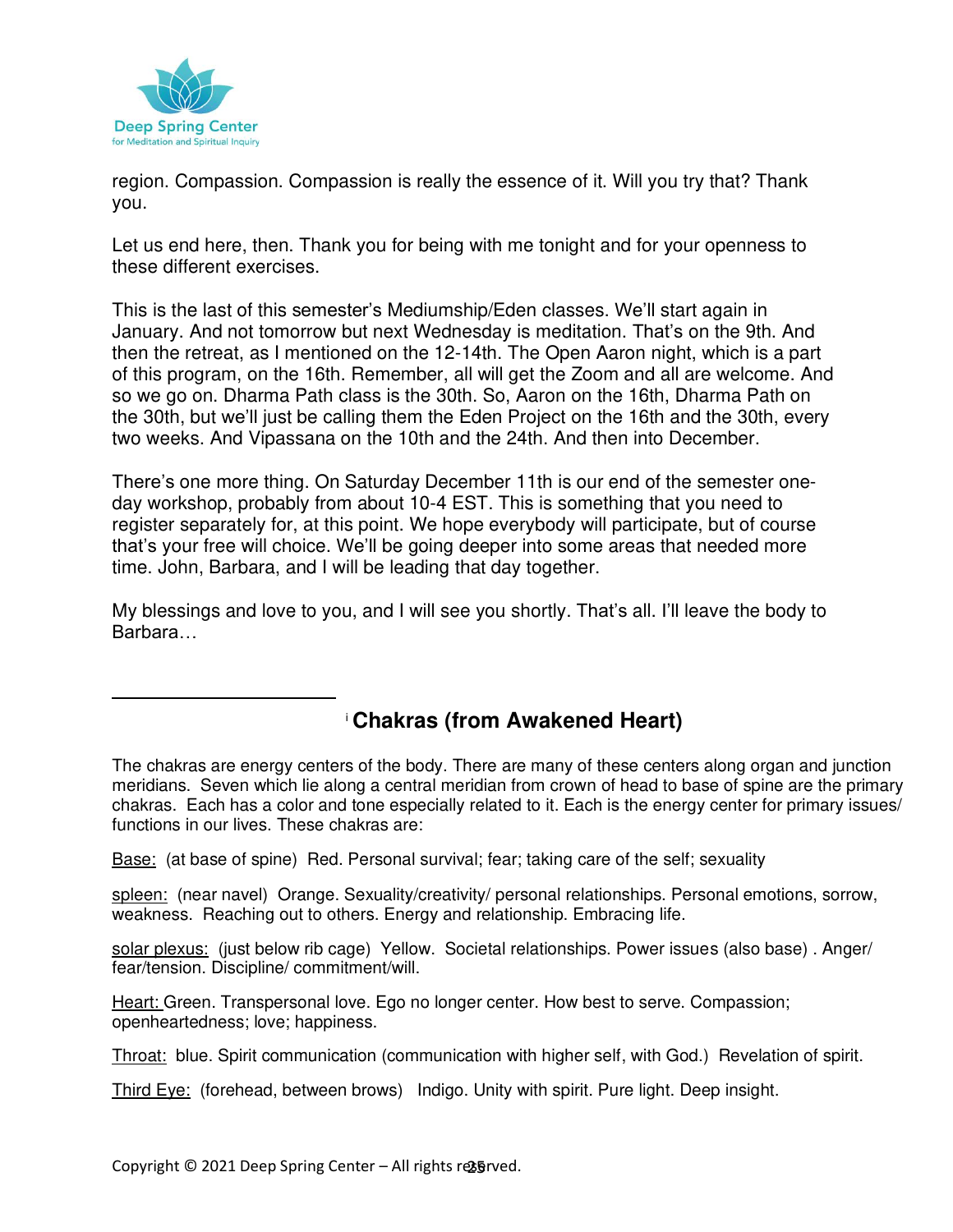

region. Compassion. Compassion is really the essence of it. Will you try that? Thank you.

Let us end here, then. Thank you for being with me tonight and for your openness to these different exercises.

This is the last of this semester's Mediumship/Eden classes. We'll start again in January. And not tomorrow but next Wednesday is meditation. That's on the 9th. And then the retreat, as I mentioned on the 12-14th. The Open Aaron night, which is a part of this program, on the 16th. Remember, all will get the Zoom and all are welcome. And so we go on. Dharma Path class is the 30th. So, Aaron on the 16th, Dharma Path on the 30th, but we'll just be calling them the Eden Project on the 16th and the 30th, every two weeks. And Vipassana on the 10th and the 24th. And then into December.

There's one more thing. On Saturday December 11th is our end of the semester oneday workshop, probably from about 10-4 EST. This is something that you need to register separately for, at this point. We hope everybody will participate, but of course that's your free will choice. We'll be going deeper into some areas that needed more time. John, Barbara, and I will be leading that day together.

My blessings and love to you, and I will see you shortly. That's all. I'll leave the body to Barbara…

# <sup>i</sup> **Chakras (from Awakened Heart)**

The chakras are energy centers of the body. There are many of these centers along organ and junction meridians. Seven which lie along a central meridian from crown of head to base of spine are the primary chakras. Each has a color and tone especially related to it. Each is the energy center for primary issues/ functions in our lives. These chakras are:

Base: (at base of spine) Red. Personal survival; fear; taking care of the self; sexuality

spleen: (near navel) Orange. Sexuality/creativity/ personal relationships. Personal emotions, sorrow, weakness. Reaching out to others. Energy and relationship. Embracing life.

solar plexus: (just below rib cage) Yellow. Societal relationships. Power issues (also base) . Anger/ fear/tension. Discipline/ commitment/will.

Heart: Green. Transpersonal love. Ego no longer center. How best to serve. Compassion; openheartedness; love; happiness.

Throat: blue. Spirit communication (communication with higher self, with God.) Revelation of spirit.

Third Eye: (forehead, between brows) Indigo. Unity with spirit. Pure light. Deep insight.